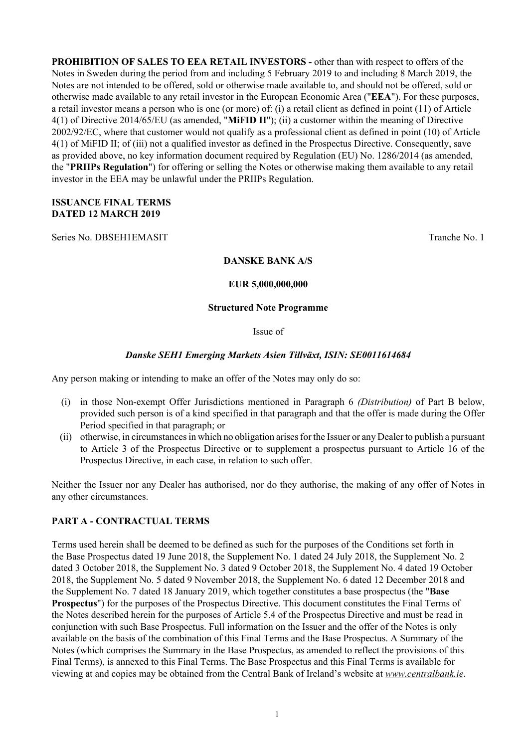**PROHIBITION OF SALES TO EEA RETAIL INVESTORS -** other than with respect to offers of the Notes in Sweden during the period from and including 5 February 2019 to and including 8 March 2019, the Notes are not intended to be offered, sold or otherwise made available to, and should not be offered, sold or otherwise made available to any retail investor in the European Economic Area ("**EEA**"). For these purposes, a retail investor means a person who is one (or more) of: (i) a retail client as defined in point (11) of Article 4(1) of Directive 2014/65/EU (as amended, "**MiFID II**"); (ii) a customer within the meaning of Directive 2002/92/EC, where that customer would not qualify as a professional client as defined in point (10) of Article 4(1) of MiFID II; of (iii) not a qualified investor as defined in the Prospectus Directive. Consequently, save as provided above, no key information document required by Regulation (EU) No. 1286/2014 (as amended, the "**PRIIPs Regulation**") for offering or selling the Notes or otherwise making them available to any retail investor in the EEA may be unlawful under the PRIIPs Regulation.

#### **ISSUANCE FINAL TERMS DATED 12 MARCH 2019**

Series No. DBSEH1EMASIT

#### **DANSKE BANK A/S**

#### **EUR 5,000,000,000**

#### **Structured Note Programme**

#### Issue of

## *Danske SEH1 Emerging Markets Asien Tillväxt, ISIN: SE0011614684*

Any person making or intending to make an offer of the Notes may only do so:

- (i) in those Non-exempt Offer Jurisdictions mentioned in Paragraph 6 *(Distribution)* of Part B below, provided such person is of a kind specified in that paragraph and that the offer is made during the Offer Period specified in that paragraph; or
- (ii) otherwise, in circumstances in which no obligation arises for the Issuer or any Dealer to publish a pursuant to Article 3 of the Prospectus Directive or to supplement a prospectus pursuant to Article 16 of the Prospectus Directive, in each case, in relation to such offer.

Neither the Issuer nor any Dealer has authorised, nor do they authorise, the making of any offer of Notes in any other circumstances.

## **PART A - CONTRACTUAL TERMS**

Terms used herein shall be deemed to be defined as such for the purposes of the Conditions set forth in the Base Prospectus dated 19 June 2018, the Supplement No. 1 dated 24 July 2018, the Supplement No. 2 dated 3 October 2018, the Supplement No. 3 dated 9 October 2018, the Supplement No. 4 dated 19 October 2018, the Supplement No. 5 dated 9 November 2018, the Supplement No. 6 dated 12 December 2018 and the Supplement No. 7 dated 18 January 2019, which together constitutes a base prospectus (the "**Base Prospectus**") for the purposes of the Prospectus Directive. This document constitutes the Final Terms of the Notes described herein for the purposes of Article 5.4 of the Prospectus Directive and must be read in conjunction with such Base Prospectus. Full information on the Issuer and the offer of the Notes is only available on the basis of the combination of this Final Terms and the Base Prospectus. A Summary of the Notes (which comprises the Summary in the Base Prospectus, as amended to reflect the provisions of this Final Terms), is annexed to this Final Terms. The Base Prospectus and this Final Terms is available for viewing at and copies may be obtained from the Central Bank of Ireland's website at *www.centralbank.ie*.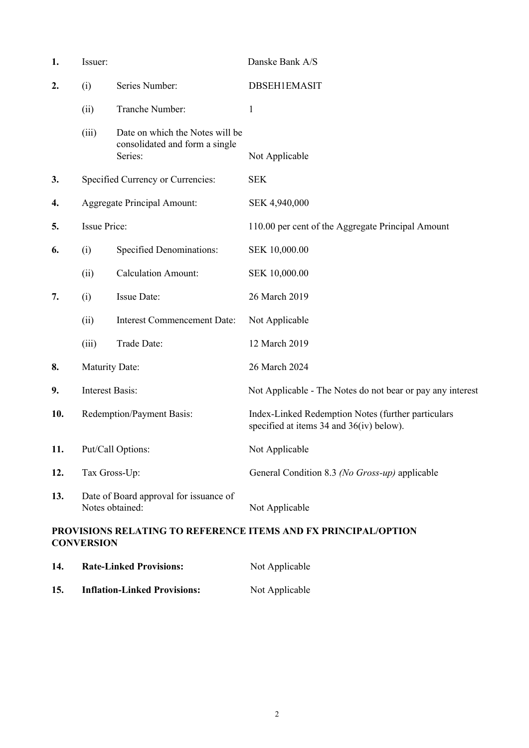| 1.  | Issuer:                |                                                                              | Danske Bank A/S                                                                                |
|-----|------------------------|------------------------------------------------------------------------------|------------------------------------------------------------------------------------------------|
| 2.  | (i)                    | Series Number:                                                               | <b>DBSEH1EMASIT</b>                                                                            |
|     | (ii)                   | Tranche Number:                                                              | 1                                                                                              |
|     | (iii)                  | Date on which the Notes will be<br>consolidated and form a single<br>Series: | Not Applicable                                                                                 |
| 3.  |                        | Specified Currency or Currencies:                                            | <b>SEK</b>                                                                                     |
| 4.  |                        | <b>Aggregate Principal Amount:</b>                                           | SEK 4,940,000                                                                                  |
| 5.  | <b>Issue Price:</b>    |                                                                              | 110.00 per cent of the Aggregate Principal Amount                                              |
| 6.  | (i)                    | <b>Specified Denominations:</b>                                              | SEK 10,000.00                                                                                  |
|     | (ii)                   | <b>Calculation Amount:</b>                                                   | SEK 10,000.00                                                                                  |
| 7.  | (i)                    | Issue Date:                                                                  | 26 March 2019                                                                                  |
|     | (ii)                   | <b>Interest Commencement Date:</b>                                           | Not Applicable                                                                                 |
|     | (iii)                  | Trade Date:                                                                  | 12 March 2019                                                                                  |
| 8.  | <b>Maturity Date:</b>  |                                                                              | 26 March 2024                                                                                  |
| 9.  | <b>Interest Basis:</b> |                                                                              | Not Applicable - The Notes do not bear or pay any interest                                     |
| 10. |                        | Redemption/Payment Basis:                                                    | Index-Linked Redemption Notes (further particulars<br>specified at items 34 and 36(iv) below). |
| 11. |                        | Put/Call Options:                                                            | Not Applicable                                                                                 |
| 12. | Tax Gross-Up:          |                                                                              | General Condition 8.3 (No Gross-up) applicable                                                 |
| 13. |                        | Date of Board approval for issuance of<br>Notes obtained:                    | Not Applicable                                                                                 |
|     | <b>CONVERSION</b>      |                                                                              | PROVISIONS RELATING TO REFERENCE ITEMS AND FX PRINCIPAL/OPTION                                 |
| 14. |                        | <b>Rate-Linked Provisions:</b>                                               | Not Applicable                                                                                 |
| 15. |                        | <b>Inflation-Linked Provisions:</b>                                          | Not Applicable                                                                                 |

2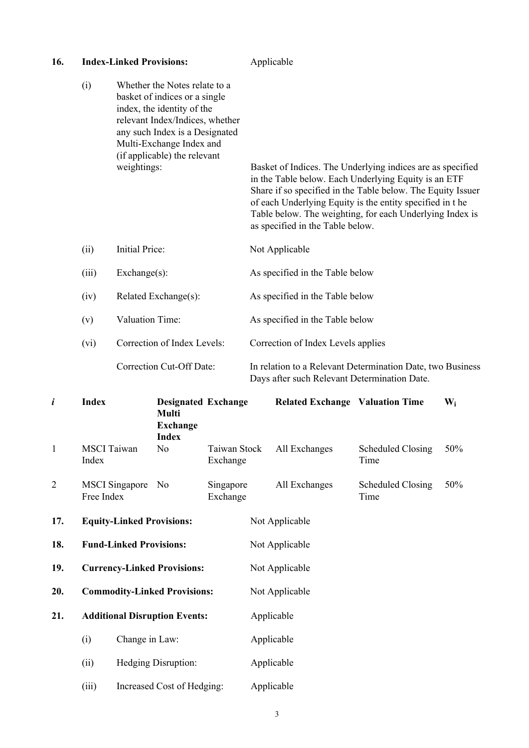| 16.            |                                     | <b>Index-Linked Provisions:</b> |                                                                                                                                                                                                                               |                          | Applicable     |                                              |                                                                                                                                                                                                                                                                                                           |       |
|----------------|-------------------------------------|---------------------------------|-------------------------------------------------------------------------------------------------------------------------------------------------------------------------------------------------------------------------------|--------------------------|----------------|----------------------------------------------|-----------------------------------------------------------------------------------------------------------------------------------------------------------------------------------------------------------------------------------------------------------------------------------------------------------|-------|
|                | (i)                                 | weightings:                     | Whether the Notes relate to a<br>basket of indices or a single<br>index, the identity of the<br>relevant Index/Indices, whether<br>any such Index is a Designated<br>Multi-Exchange Index and<br>(if applicable) the relevant |                          |                | as specified in the Table below.             | Basket of Indices. The Underlying indices are as specified<br>in the Table below. Each Underlying Equity is an ETF<br>Share if so specified in the Table below. The Equity Issuer<br>of each Underlying Equity is the entity specified in the<br>Table below. The weighting, for each Underlying Index is |       |
|                | (ii)                                | Initial Price:                  |                                                                                                                                                                                                                               |                          |                | Not Applicable                               |                                                                                                                                                                                                                                                                                                           |       |
|                | (iii)                               | Exchange(s):                    |                                                                                                                                                                                                                               |                          |                | As specified in the Table below              |                                                                                                                                                                                                                                                                                                           |       |
|                | (iv)                                |                                 | Related Exchange(s):                                                                                                                                                                                                          |                          |                | As specified in the Table below              |                                                                                                                                                                                                                                                                                                           |       |
|                | (v)                                 | Valuation Time:                 |                                                                                                                                                                                                                               |                          |                | As specified in the Table below              |                                                                                                                                                                                                                                                                                                           |       |
|                | (vi)                                |                                 | Correction of Index Levels:                                                                                                                                                                                                   |                          |                | Correction of Index Levels applies           |                                                                                                                                                                                                                                                                                                           |       |
|                |                                     |                                 | Correction Cut-Off Date:                                                                                                                                                                                                      |                          |                | Days after such Relevant Determination Date. | In relation to a Relevant Determination Date, two Business                                                                                                                                                                                                                                                |       |
| i              | <b>Index</b>                        |                                 | <b>Designated Exchange</b><br><b>Multi</b><br><b>Exchange</b><br><b>Index</b>                                                                                                                                                 |                          |                | <b>Related Exchange Valuation Time</b>       |                                                                                                                                                                                                                                                                                                           | $W_i$ |
| 1              | <b>MSCI</b> Taiwan<br>Index         |                                 | N <sub>0</sub>                                                                                                                                                                                                                | Taiwan Stock<br>Exchange |                | All Exchanges                                | <b>Scheduled Closing</b><br>Time                                                                                                                                                                                                                                                                          | 50%   |
| $\overline{c}$ | <b>MSCI</b> Singapore<br>Free Index |                                 | N <sub>0</sub>                                                                                                                                                                                                                | Singapore<br>Exchange    |                | All Exchanges                                | <b>Scheduled Closing</b><br>Time                                                                                                                                                                                                                                                                          | 50%   |
| 17.            | <b>Equity-Linked Provisions:</b>    |                                 |                                                                                                                                                                                                                               |                          | Not Applicable |                                              |                                                                                                                                                                                                                                                                                                           |       |
| 18.            | <b>Fund-Linked Provisions:</b>      |                                 |                                                                                                                                                                                                                               |                          | Not Applicable |                                              |                                                                                                                                                                                                                                                                                                           |       |
| 19.            | <b>Currency-Linked Provisions:</b>  |                                 |                                                                                                                                                                                                                               |                          | Not Applicable |                                              |                                                                                                                                                                                                                                                                                                           |       |
| 20.            | <b>Commodity-Linked Provisions:</b> |                                 |                                                                                                                                                                                                                               |                          | Not Applicable |                                              |                                                                                                                                                                                                                                                                                                           |       |
| 21.            |                                     |                                 | <b>Additional Disruption Events:</b>                                                                                                                                                                                          |                          | Applicable     |                                              |                                                                                                                                                                                                                                                                                                           |       |
|                | (i)                                 | Change in Law:                  |                                                                                                                                                                                                                               |                          |                | Applicable                                   |                                                                                                                                                                                                                                                                                                           |       |
|                | (ii)                                |                                 | Hedging Disruption:                                                                                                                                                                                                           |                          | Applicable     |                                              |                                                                                                                                                                                                                                                                                                           |       |

(iii) Increased Cost of Hedging: Applicable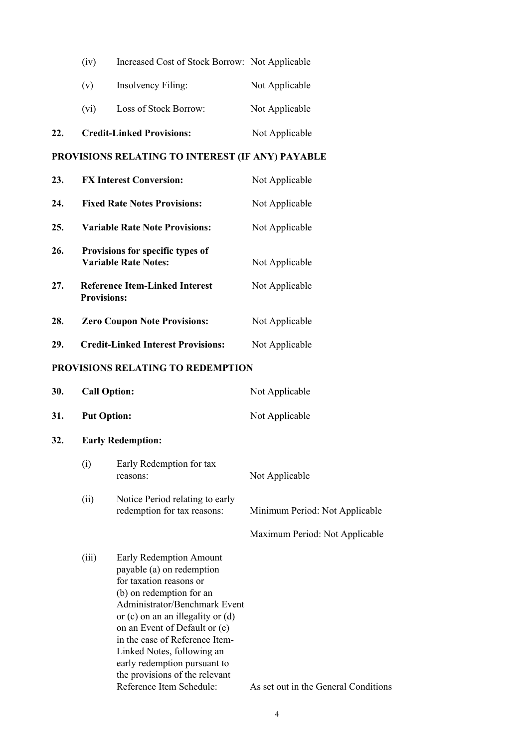| 22. |      | <b>Credit-Linked Provisions:</b>               | Not Applicable |
|-----|------|------------------------------------------------|----------------|
|     | (vi) | Loss of Stock Borrow:                          | Not Applicable |
|     | (v)  | Insolvency Filing:                             | Not Applicable |
|     | (iv) | Increased Cost of Stock Borrow: Not Applicable |                |

#### **PROVISIONS RELATING TO INTEREST (IF ANY) PAYABLE**

| 23. | <b>FX Interest Conversion:</b>                                  | Not Applicable |
|-----|-----------------------------------------------------------------|----------------|
| 24. | <b>Fixed Rate Notes Provisions:</b>                             | Not Applicable |
| 25. | <b>Variable Rate Note Provisions:</b>                           | Not Applicable |
| 26. | Provisions for specific types of<br><b>Variable Rate Notes:</b> | Not Applicable |
| 27. | <b>Reference Item-Linked Interest</b><br><b>Provisions:</b>     | Not Applicable |
| 28. | <b>Zero Coupon Note Provisions:</b>                             | Not Applicable |
| 29. | <b>Credit-Linked Interest Provisions:</b>                       | Not Applicable |

#### **PROVISIONS RELATING TO REDEMPTION**

| 30. | <b>Call Option:</b> | Not Applicable |
|-----|---------------------|----------------|
| 31. | <b>Put Option:</b>  | Not Applicable |

#### **32. Early Redemption:**

| (i)  | Early Redemption for tax<br>reasons:                           | Not Applicable                 |  |
|------|----------------------------------------------------------------|--------------------------------|--|
| (11) | Notice Period relating to early<br>redemption for tax reasons: | Minimum Period: Not Applicable |  |
|      |                                                                | Maximum Period: Not Applicable |  |

(iii) Early Redemption Amount payable (a) on redemption for taxation reasons or (b) on redemption for an Administrator/Benchmark Event or (c) on an an illegality or (d) on an Event of Default or (e) in the case of Reference Item-Linked Notes, following an early redemption pursuant to the provisions of the relevant Reference Item Schedule: As set out in the General Conditions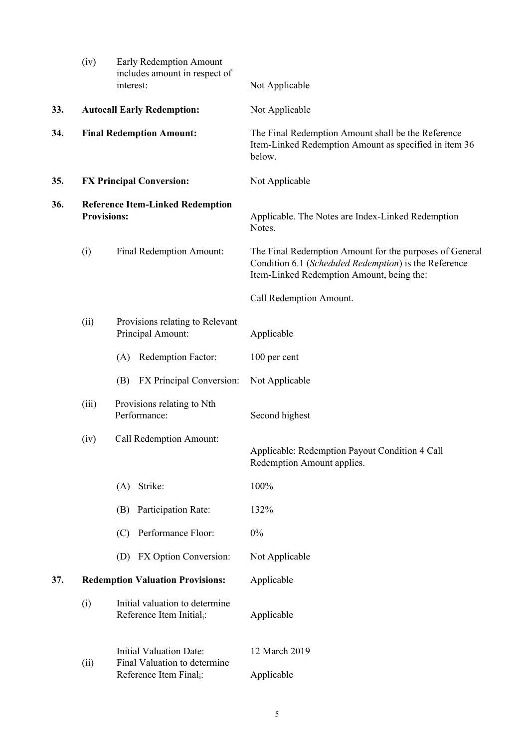|     | (iv)                                                          | Early Redemption Amount<br>includes amount in respect of<br>interest:   | Not Applicable                                                                                                                                                |
|-----|---------------------------------------------------------------|-------------------------------------------------------------------------|---------------------------------------------------------------------------------------------------------------------------------------------------------------|
| 33. | <b>Autocall Early Redemption:</b>                             |                                                                         | Not Applicable                                                                                                                                                |
| 34. |                                                               | <b>Final Redemption Amount:</b>                                         | The Final Redemption Amount shall be the Reference<br>Item-Linked Redemption Amount as specified in item 36<br>below.                                         |
| 35. |                                                               | <b>FX Principal Conversion:</b>                                         | Not Applicable                                                                                                                                                |
| 36. | <b>Reference Item-Linked Redemption</b><br><b>Provisions:</b> |                                                                         | Applicable. The Notes are Index-Linked Redemption<br>Notes.                                                                                                   |
|     | (i)                                                           | Final Redemption Amount:                                                | The Final Redemption Amount for the purposes of General<br>Condition 6.1 (Scheduled Redemption) is the Reference<br>Item-Linked Redemption Amount, being the: |
|     |                                                               |                                                                         | Call Redemption Amount.                                                                                                                                       |
|     | (ii)                                                          | Provisions relating to Relevant<br>Principal Amount:                    | Applicable                                                                                                                                                    |
|     |                                                               | Redemption Factor:<br>(A)                                               | 100 per cent                                                                                                                                                  |
|     |                                                               | FX Principal Conversion:<br>(B)                                         | Not Applicable                                                                                                                                                |
|     | (iii)                                                         | Provisions relating to Nth<br>Performance:                              | Second highest                                                                                                                                                |
|     | (iv)                                                          | Call Redemption Amount:                                                 | Applicable: Redemption Payout Condition 4 Call<br>Redemption Amount applies.                                                                                  |
|     |                                                               | Strike:<br>(A)                                                          | 100%                                                                                                                                                          |
|     |                                                               | Participation Rate:<br>(B)                                              | 132%                                                                                                                                                          |
|     |                                                               | Performance Floor:<br>(C)                                               | 0%                                                                                                                                                            |
|     |                                                               | FX Option Conversion:<br>(D)                                            | Not Applicable                                                                                                                                                |
| 37. |                                                               | <b>Redemption Valuation Provisions:</b>                                 | Applicable                                                                                                                                                    |
|     | (i)                                                           | Initial valuation to determine<br>Reference Item Initial <sub>i</sub> : | Applicable                                                                                                                                                    |
|     | (ii)                                                          | <b>Initial Valuation Date:</b><br>Final Valuation to determine          | 12 March 2019                                                                                                                                                 |
|     |                                                               | Reference Item Final <sub>i</sub> :                                     | Applicable                                                                                                                                                    |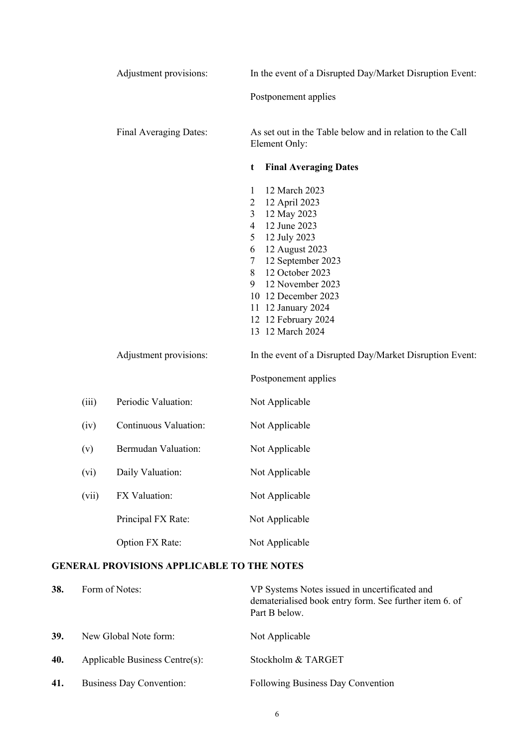|           |       | Adjustment provisions:                            | In the event of a Disrupted Day/Market Disruption Event:                                                                                                                                                                                                                                                                              |
|-----------|-------|---------------------------------------------------|---------------------------------------------------------------------------------------------------------------------------------------------------------------------------------------------------------------------------------------------------------------------------------------------------------------------------------------|
|           |       |                                                   | Postponement applies                                                                                                                                                                                                                                                                                                                  |
|           |       | Final Averaging Dates:                            | As set out in the Table below and in relation to the Call<br>Element Only:                                                                                                                                                                                                                                                            |
|           |       |                                                   | <b>Final Averaging Dates</b><br>t                                                                                                                                                                                                                                                                                                     |
|           |       |                                                   | 12 March 2023<br>$\mathbf{1}$<br>12 April 2023<br>$\overline{2}$<br>12 May 2023<br>3<br>12 June 2023<br>$\overline{4}$<br>12 July 2023<br>5<br>12 August 2023<br>6<br>12 September 2023<br>7<br>12 October 2023<br>8<br>12 November 2023<br>9<br>10 12 December 2023<br>11 12 January 2024<br>12 12 February 2024<br>13 12 March 2024 |
|           |       | Adjustment provisions:                            | In the event of a Disrupted Day/Market Disruption Event:<br>Postponement applies                                                                                                                                                                                                                                                      |
|           | (iii) | Periodic Valuation:                               | Not Applicable                                                                                                                                                                                                                                                                                                                        |
|           | (iv)  | Continuous Valuation:                             | Not Applicable                                                                                                                                                                                                                                                                                                                        |
|           | (v)   | <b>Bermudan Valuation:</b>                        | Not Applicable                                                                                                                                                                                                                                                                                                                        |
|           | (vi)  | Daily Valuation:                                  | Not Applicable                                                                                                                                                                                                                                                                                                                        |
|           | (vii) | FX Valuation:                                     | Not Applicable                                                                                                                                                                                                                                                                                                                        |
|           |       | Principal FX Rate:                                | Not Applicable                                                                                                                                                                                                                                                                                                                        |
|           |       | Option FX Rate:                                   | Not Applicable                                                                                                                                                                                                                                                                                                                        |
|           |       | <b>GENERAL PROVISIONS APPLICABLE TO THE NOTES</b> |                                                                                                                                                                                                                                                                                                                                       |
| <u>າດ</u> |       |                                                   |                                                                                                                                                                                                                                                                                                                                       |

| 38. | Form of Notes:                 | VP Systems Notes issued in uncertificated and<br>dematerialised book entry form. See further item 6. of<br>Part B below. |
|-----|--------------------------------|--------------------------------------------------------------------------------------------------------------------------|
| 39. | New Global Note form:          | Not Applicable                                                                                                           |
| 40. | Applicable Business Centre(s): | Stockholm & TARGET                                                                                                       |
| 41. | Business Day Convention:       | <b>Following Business Day Convention</b>                                                                                 |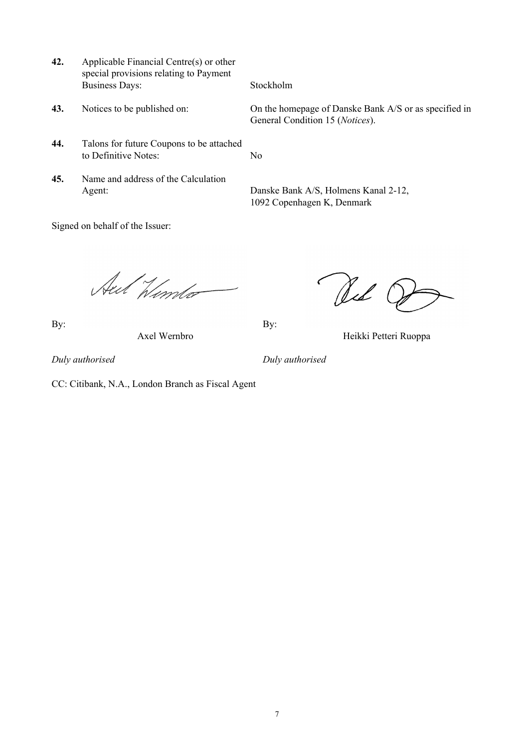- **42.** Applicable Financial Centre(s) or other special provisions relating to Payment Business Days: Stockholm
- 

Signed on behalf of the Issuer:

- **44.** Talons for future Coupons to be attached to Definitive Notes: No
- **45.** Name and address of the Calculation

**43.** Notices to be published on: On the homepage of Danske Bank A/S or as specified in General Condition 15 (*Notices*).

Agent: Danske Bank A/S, Holmens Kanal 2-12, 1092 Copenhagen K, Denmark

Aut Winto

By: By:

Red G

Axel Wernbro Heikki Petteri Ruoppa

*Duly authorised Duly authorised*

CC: Citibank, N.A., London Branch as Fiscal Agent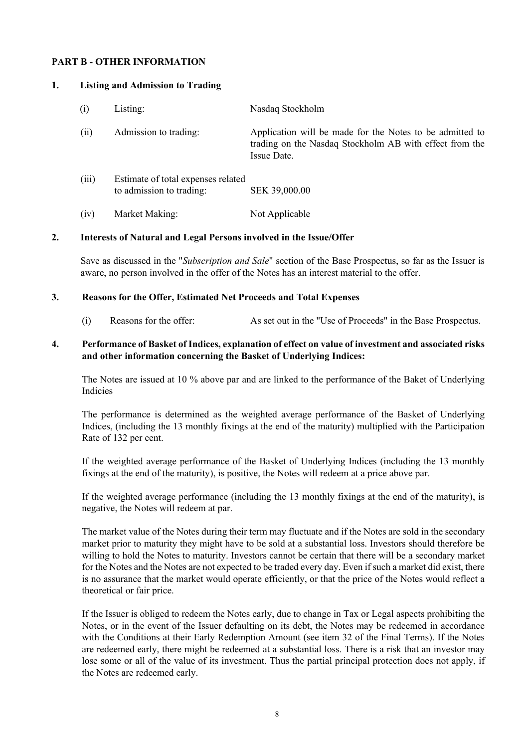#### **PART B - OTHER INFORMATION**

#### **1. Listing and Admission to Trading**

| (i)   | Listing:                                                       | Nasdaq Stockholm                                                                                                                   |
|-------|----------------------------------------------------------------|------------------------------------------------------------------------------------------------------------------------------------|
| (ii)  | Admission to trading:                                          | Application will be made for the Notes to be admitted to<br>trading on the Nasdaq Stockholm AB with effect from the<br>Issue Date. |
| (iii) | Estimate of total expenses related<br>to admission to trading: | SEK 39,000.00                                                                                                                      |

#### (iv) Market Making: Not Applicable

#### **2. Interests of Natural and Legal Persons involved in the Issue/Offer**

Save as discussed in the "*Subscription and Sale*" section of the Base Prospectus, so far as the Issuer is aware, no person involved in the offer of the Notes has an interest material to the offer.

#### **3. Reasons for the Offer, Estimated Net Proceeds and Total Expenses**

(i) Reasons for the offer: As set out in the "Use of Proceeds" in the Base Prospectus.

#### **4. Performance of Basket of Indices, explanation of effect on value of investment and associated risks and other information concerning the Basket of Underlying Indices:**

The Notes are issued at 10 % above par and are linked to the performance of the Baket of Underlying Indicies

The performance is determined as the weighted average performance of the Basket of Underlying Indices, (including the 13 monthly fixings at the end of the maturity) multiplied with the Participation Rate of 132 per cent.

If the weighted average performance of the Basket of Underlying Indices (including the 13 monthly fixings at the end of the maturity), is positive, the Notes will redeem at a price above par.

If the weighted average performance (including the 13 monthly fixings at the end of the maturity), is negative, the Notes will redeem at par.

The market value of the Notes during their term may fluctuate and if the Notes are sold in the secondary market prior to maturity they might have to be sold at a substantial loss. Investors should therefore be willing to hold the Notes to maturity. Investors cannot be certain that there will be a secondary market for the Notes and the Notes are not expected to be traded every day. Even if such a market did exist, there is no assurance that the market would operate efficiently, or that the price of the Notes would reflect a theoretical or fair price.

If the Issuer is obliged to redeem the Notes early, due to change in Tax or Legal aspects prohibiting the Notes, or in the event of the Issuer defaulting on its debt, the Notes may be redeemed in accordance with the Conditions at their Early Redemption Amount (see item 32 of the Final Terms). If the Notes are redeemed early, there might be redeemed at a substantial loss. There is a risk that an investor may lose some or all of the value of its investment. Thus the partial principal protection does not apply, if the Notes are redeemed early.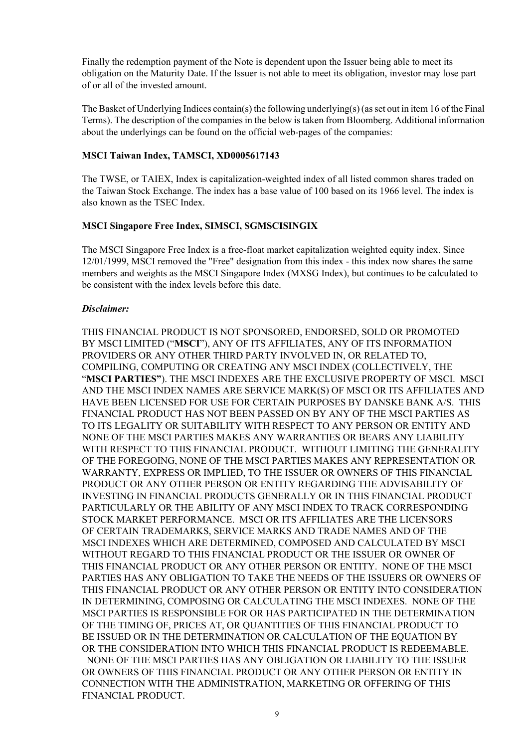Finally the redemption payment of the Note is dependent upon the Issuer being able to meet its obligation on the Maturity Date. If the Issuer is not able to meet its obligation, investor may lose part of or all of the invested amount.

The Basket of Underlying Indices contain(s) the following underlying(s) (as set out in item 16 of the Final Terms). The description of the companies in the below is taken from Bloomberg. Additional information about the underlyings can be found on the official web-pages of the companies:

### **MSCI Taiwan Index, TAMSCI, XD0005617143**

The TWSE, or TAIEX, Index is capitalization-weighted index of all listed common shares traded on the Taiwan Stock Exchange. The index has a base value of 100 based on its 1966 level. The index is also known as the TSEC Index.

#### **MSCI Singapore Free Index, SIMSCI, SGMSCISINGIX**

The MSCI Singapore Free Index is a free-float market capitalization weighted equity index. Since 12/01/1999, MSCI removed the "Free" designation from this index - this index now shares the same members and weights as the MSCI Singapore Index (MXSG Index), but continues to be calculated to be consistent with the index levels before this date.

#### *Disclaimer:*

THIS FINANCIAL PRODUCT IS NOT SPONSORED, ENDORSED, SOLD OR PROMOTED BY MSCI LIMITED ("**MSCI**"), ANY OF ITS AFFILIATES, ANY OF ITS INFORMATION PROVIDERS OR ANY OTHER THIRD PARTY INVOLVED IN, OR RELATED TO, COMPILING, COMPUTING OR CREATING ANY MSCI INDEX (COLLECTIVELY, THE "**MSCI PARTIES"**). THE MSCI INDEXES ARE THE EXCLUSIVE PROPERTY OF MSCI. MSCI AND THE MSCI INDEX NAMES ARE SERVICE MARK(S) OF MSCI OR ITS AFFILIATES AND HAVE BEEN LICENSED FOR USE FOR CERTAIN PURPOSES BY DANSKE BANK A/S. THIS FINANCIAL PRODUCT HAS NOT BEEN PASSED ON BY ANY OF THE MSCI PARTIES AS TO ITS LEGALITY OR SUITABILITY WITH RESPECT TO ANY PERSON OR ENTITY AND NONE OF THE MSCI PARTIES MAKES ANY WARRANTIES OR BEARS ANY LIABILITY WITH RESPECT TO THIS FINANCIAL PRODUCT. WITHOUT LIMITING THE GENERALITY OF THE FOREGOING, NONE OF THE MSCI PARTIES MAKES ANY REPRESENTATION OR WARRANTY, EXPRESS OR IMPLIED, TO THE ISSUER OR OWNERS OF THIS FINANCIAL PRODUCT OR ANY OTHER PERSON OR ENTITY REGARDING THE ADVISABILITY OF INVESTING IN FINANCIAL PRODUCTS GENERALLY OR IN THIS FINANCIAL PRODUCT PARTICULARLY OR THE ABILITY OF ANY MSCI INDEX TO TRACK CORRESPONDING STOCK MARKET PERFORMANCE. MSCI OR ITS AFFILIATES ARE THE LICENSORS OF CERTAIN TRADEMARKS, SERVICE MARKS AND TRADE NAMES AND OF THE MSCI INDEXES WHICH ARE DETERMINED, COMPOSED AND CALCULATED BY MSCI WITHOUT REGARD TO THIS FINANCIAL PRODUCT OR THE ISSUER OR OWNER OF THIS FINANCIAL PRODUCT OR ANY OTHER PERSON OR ENTITY. NONE OF THE MSCI PARTIES HAS ANY OBLIGATION TO TAKE THE NEEDS OF THE ISSUERS OR OWNERS OF THIS FINANCIAL PRODUCT OR ANY OTHER PERSON OR ENTITY INTO CONSIDERATION IN DETERMINING, COMPOSING OR CALCULATING THE MSCI INDEXES. NONE OF THE MSCI PARTIES IS RESPONSIBLE FOR OR HAS PARTICIPATED IN THE DETERMINATION OF THE TIMING OF, PRICES AT, OR QUANTITIES OF THIS FINANCIAL PRODUCT TO BE ISSUED OR IN THE DETERMINATION OR CALCULATION OF THE EQUATION BY OR THE CONSIDERATION INTO WHICH THIS FINANCIAL PRODUCT IS REDEEMABLE. NONE OF THE MSCI PARTIES HAS ANY OBLIGATION OR LIABILITY TO THE ISSUER OR OWNERS OF THIS FINANCIAL PRODUCT OR ANY OTHER PERSON OR ENTITY IN CONNECTION WITH THE ADMINISTRATION, MARKETING OR OFFERING OF THIS FINANCIAL PRODUCT.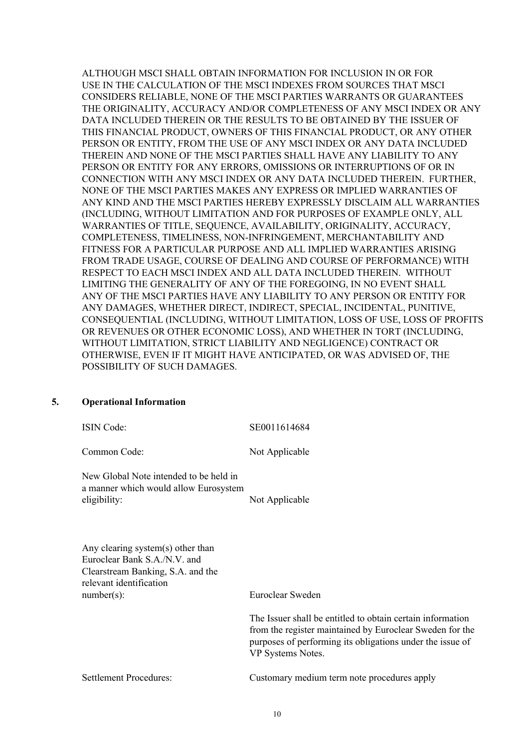ALTHOUGH MSCI SHALL OBTAIN INFORMATION FOR INCLUSION IN OR FOR USE IN THE CALCULATION OF THE MSCI INDEXES FROM SOURCES THAT MSCI CONSIDERS RELIABLE, NONE OF THE MSCI PARTIES WARRANTS OR GUARANTEES THE ORIGINALITY, ACCURACY AND/OR COMPLETENESS OF ANY MSCI INDEX OR ANY DATA INCLUDED THEREIN OR THE RESULTS TO BE OBTAINED BY THE ISSUER OF THIS FINANCIAL PRODUCT, OWNERS OF THIS FINANCIAL PRODUCT, OR ANY OTHER PERSON OR ENTITY, FROM THE USE OF ANY MSCI INDEX OR ANY DATA INCLUDED THEREIN AND NONE OF THE MSCI PARTIES SHALL HAVE ANY LIABILITY TO ANY PERSON OR ENTITY FOR ANY ERRORS, OMISSIONS OR INTERRUPTIONS OF OR IN CONNECTION WITH ANY MSCI INDEX OR ANY DATA INCLUDED THEREIN. FURTHER, NONE OF THE MSCI PARTIES MAKES ANY EXPRESS OR IMPLIED WARRANTIES OF ANY KIND AND THE MSCI PARTIES HEREBY EXPRESSLY DISCLAIM ALL WARRANTIES (INCLUDING, WITHOUT LIMITATION AND FOR PURPOSES OF EXAMPLE ONLY, ALL WARRANTIES OF TITLE, SEQUENCE, AVAILABILITY, ORIGINALITY, ACCURACY, COMPLETENESS, TIMELINESS, NON-INFRINGEMENT, MERCHANTABILITY AND FITNESS FOR A PARTICULAR PURPOSE AND ALL IMPLIED WARRANTIES ARISING FROM TRADE USAGE, COURSE OF DEALING AND COURSE OF PERFORMANCE) WITH RESPECT TO EACH MSCI INDEX AND ALL DATA INCLUDED THEREIN. WITHOUT LIMITING THE GENERALITY OF ANY OF THE FOREGOING, IN NO EVENT SHALL ANY OF THE MSCI PARTIES HAVE ANY LIABILITY TO ANY PERSON OR ENTITY FOR ANY DAMAGES, WHETHER DIRECT, INDIRECT, SPECIAL, INCIDENTAL, PUNITIVE, CONSEQUENTIAL (INCLUDING, WITHOUT LIMITATION, LOSS OF USE, LOSS OF PROFITS OR REVENUES OR OTHER ECONOMIC LOSS), AND WHETHER IN TORT (INCLUDING, WITHOUT LIMITATION, STRICT LIABILITY AND NEGLIGENCE) CONTRACT OR OTHERWISE, EVEN IF IT MIGHT HAVE ANTICIPATED, OR WAS ADVISED OF, THE POSSIBILITY OF SUCH DAMAGES.

#### **5. Operational Information**

| <b>ISIN Code:</b>                                                                                                                                  | SE0011614684                                                                                                                                                                                             |
|----------------------------------------------------------------------------------------------------------------------------------------------------|----------------------------------------------------------------------------------------------------------------------------------------------------------------------------------------------------------|
| Common Code:                                                                                                                                       | Not Applicable                                                                                                                                                                                           |
| New Global Note intended to be held in<br>a manner which would allow Eurosystem<br>eligibility:                                                    | Not Applicable                                                                                                                                                                                           |
| Any clearing system(s) other than<br>Euroclear Bank S.A./N.V. and<br>Clearstream Banking, S.A. and the<br>relevant identification<br>$number(s)$ : | Euroclear Sweden                                                                                                                                                                                         |
|                                                                                                                                                    | The Issuer shall be entitled to obtain certain information<br>from the register maintained by Euroclear Sweden for the<br>purposes of performing its obligations under the issue of<br>VP Systems Notes. |

Settlement Procedures: Customary medium term note procedures apply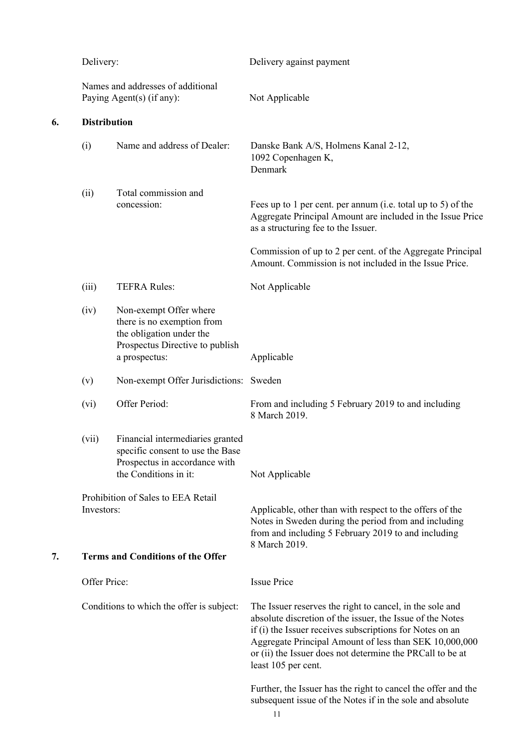|    | Delivery:<br>Names and addresses of additional<br>Paying Agent(s) (if any): |                                                                                                                                      | Delivery against payment                                                                                                                                                                                                                                                                                                        |  |
|----|-----------------------------------------------------------------------------|--------------------------------------------------------------------------------------------------------------------------------------|---------------------------------------------------------------------------------------------------------------------------------------------------------------------------------------------------------------------------------------------------------------------------------------------------------------------------------|--|
|    |                                                                             |                                                                                                                                      | Not Applicable                                                                                                                                                                                                                                                                                                                  |  |
| 6. | <b>Distribution</b>                                                         |                                                                                                                                      |                                                                                                                                                                                                                                                                                                                                 |  |
|    | (i)                                                                         | Name and address of Dealer:                                                                                                          | Danske Bank A/S, Holmens Kanal 2-12,<br>1092 Copenhagen K,<br>Denmark                                                                                                                                                                                                                                                           |  |
|    | (ii)                                                                        | Total commission and<br>concession:                                                                                                  | Fees up to 1 per cent. per annum (i.e. total up to 5) of the<br>Aggregate Principal Amount are included in the Issue Price<br>as a structuring fee to the Issuer.                                                                                                                                                               |  |
|    |                                                                             |                                                                                                                                      | Commission of up to 2 per cent. of the Aggregate Principal<br>Amount. Commission is not included in the Issue Price.                                                                                                                                                                                                            |  |
|    | (iii)                                                                       | <b>TEFRA Rules:</b>                                                                                                                  | Not Applicable                                                                                                                                                                                                                                                                                                                  |  |
|    | (iv)                                                                        | Non-exempt Offer where<br>there is no exemption from<br>the obligation under the<br>Prospectus Directive to publish<br>a prospectus: | Applicable                                                                                                                                                                                                                                                                                                                      |  |
|    | (v)                                                                         | Non-exempt Offer Jurisdictions: Sweden                                                                                               |                                                                                                                                                                                                                                                                                                                                 |  |
|    | (vi)                                                                        | Offer Period:                                                                                                                        | From and including 5 February 2019 to and including<br>8 March 2019.                                                                                                                                                                                                                                                            |  |
|    | (vii)                                                                       | Financial intermediaries granted<br>specific consent to use the Base<br>Prospectus in accordance with<br>the Conditions in it:       | Not Applicable                                                                                                                                                                                                                                                                                                                  |  |
| 7. | Investors:                                                                  | Prohibition of Sales to EEA Retail<br><b>Terms and Conditions of the Offer</b>                                                       | Applicable, other than with respect to the offers of the<br>Notes in Sweden during the period from and including<br>from and including 5 February 2019 to and including<br>8 March 2019.                                                                                                                                        |  |
|    | Offer Price:                                                                |                                                                                                                                      | <b>Issue Price</b>                                                                                                                                                                                                                                                                                                              |  |
|    |                                                                             | Conditions to which the offer is subject:                                                                                            | The Issuer reserves the right to cancel, in the sole and<br>absolute discretion of the issuer, the Issue of the Notes<br>if (i) the Issuer receives subscriptions for Notes on an<br>Aggregate Principal Amount of less than SEK 10,000,000<br>or (ii) the Issuer does not determine the PRCall to be at<br>least 105 per cent. |  |
|    |                                                                             |                                                                                                                                      | Further, the Issuer has the right to cancel the offer and the<br>subsequent issue of the Notes if in the sole and absolute<br>11                                                                                                                                                                                                |  |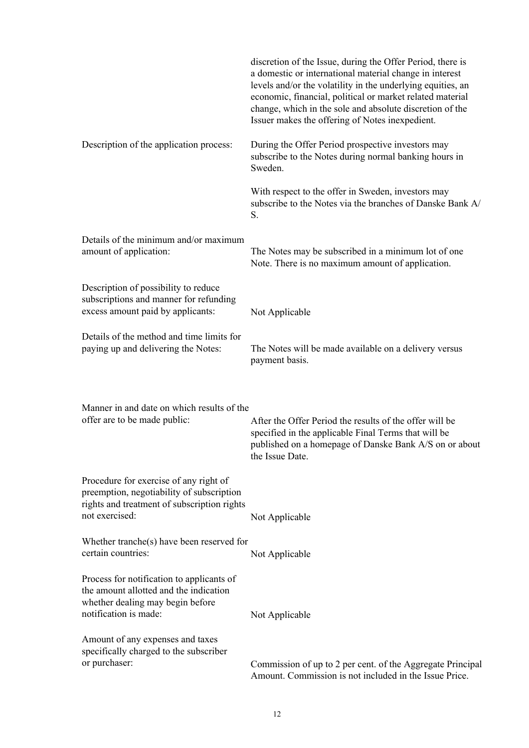|                                                                                                                                                      | discretion of the Issue, during the Offer Period, there is<br>a domestic or international material change in interest<br>levels and/or the volatility in the underlying equities, an<br>economic, financial, political or market related material<br>change, which in the sole and absolute discretion of the<br>Issuer makes the offering of Notes inexpedient. |
|------------------------------------------------------------------------------------------------------------------------------------------------------|------------------------------------------------------------------------------------------------------------------------------------------------------------------------------------------------------------------------------------------------------------------------------------------------------------------------------------------------------------------|
| Description of the application process:                                                                                                              | During the Offer Period prospective investors may<br>subscribe to the Notes during normal banking hours in<br>Sweden.                                                                                                                                                                                                                                            |
|                                                                                                                                                      | With respect to the offer in Sweden, investors may<br>subscribe to the Notes via the branches of Danske Bank A/<br>S.                                                                                                                                                                                                                                            |
| Details of the minimum and/or maximum<br>amount of application:                                                                                      | The Notes may be subscribed in a minimum lot of one<br>Note. There is no maximum amount of application.                                                                                                                                                                                                                                                          |
| Description of possibility to reduce<br>subscriptions and manner for refunding<br>excess amount paid by applicants:                                  | Not Applicable                                                                                                                                                                                                                                                                                                                                                   |
| Details of the method and time limits for<br>paying up and delivering the Notes:                                                                     | The Notes will be made available on a delivery versus<br>payment basis.                                                                                                                                                                                                                                                                                          |
| Manner in and date on which results of the<br>offer are to be made public:                                                                           | After the Offer Period the results of the offer will be<br>specified in the applicable Final Terms that will be<br>published on a homepage of Danske Bank A/S on or about<br>the Issue Date.                                                                                                                                                                     |
| Procedure for exercise of any right of<br>preemption, negotiability of subscription<br>rights and treatment of subscription rights<br>not exercised: | Not Applicable                                                                                                                                                                                                                                                                                                                                                   |
| Whether tranche(s) have been reserved for<br>certain countries:                                                                                      | Not Applicable                                                                                                                                                                                                                                                                                                                                                   |
| Process for notification to applicants of<br>the amount allotted and the indication<br>whether dealing may begin before<br>notification is made:     | Not Applicable                                                                                                                                                                                                                                                                                                                                                   |
| Amount of any expenses and taxes<br>specifically charged to the subscriber<br>or purchaser:                                                          | Commission of up to 2 per cent. of the Aggregate Principal<br>Amount. Commission is not included in the Issue Price.                                                                                                                                                                                                                                             |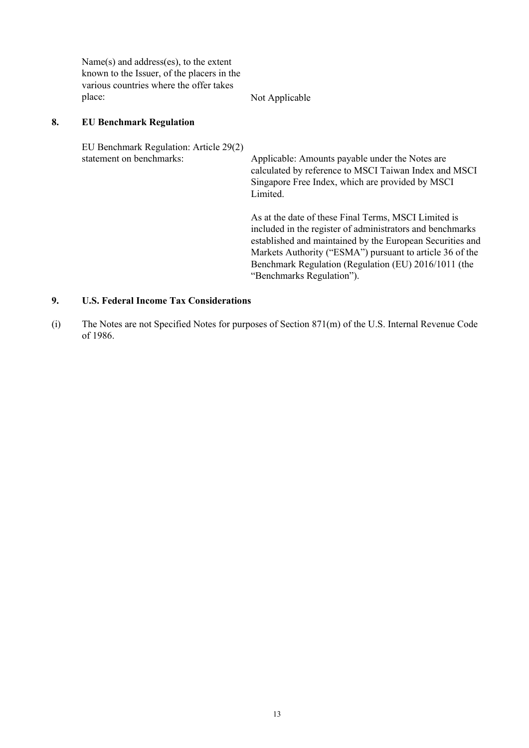Name(s) and address(es), to the extent known to the Issuer, of the placers in the various countries where the offer takes place: Not Applicable

#### **8. EU Benchmark Regulation**

EU Benchmark Regulation: Article 29(2) statement on benchmarks: Applicable: Amounts payable under the Notes are calculated by reference to MSCI Taiwan Index and MSCI Singapore Free Index, which are provided by MSCI Limited.

As at the date of these Final Terms, MSCI Limited is included in the register of administrators and benchmarks established and maintained by the European Securities and Markets Authority ("ESMA") pursuant to article 36 of the Benchmark Regulation (Regulation (EU) 2016/1011 (the "Benchmarks Regulation").

## **9. U.S. Federal Income Tax Considerations**

(i) The Notes are not Specified Notes for purposes of Section 871(m) of the U.S. Internal Revenue Code of 1986.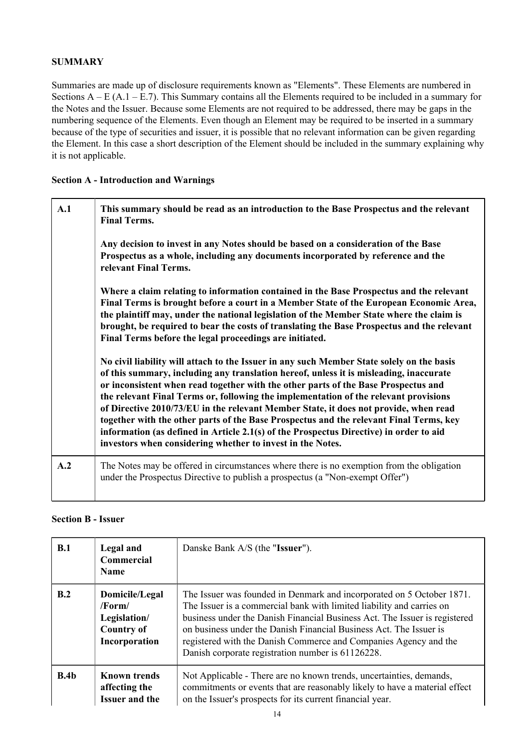## **SUMMARY**

Summaries are made up of disclosure requirements known as "Elements". These Elements are numbered in Sections  $A - E (A.1 - E.7)$ . This Summary contains all the Elements required to be included in a summary for the Notes and the Issuer. Because some Elements are not required to be addressed, there may be gaps in the numbering sequence of the Elements. Even though an Element may be required to be inserted in a summary because of the type of securities and issuer, it is possible that no relevant information can be given regarding the Element. In this case a short description of the Element should be included in the summary explaining why it is not applicable.

## **Section A - Introduction and Warnings**

| A.1 | This summary should be read as an introduction to the Base Prospectus and the relevant<br><b>Final Terms.</b>                                                                                                                                                                                                                                                                                                                                                                                                                                                                                                                                                                                               |
|-----|-------------------------------------------------------------------------------------------------------------------------------------------------------------------------------------------------------------------------------------------------------------------------------------------------------------------------------------------------------------------------------------------------------------------------------------------------------------------------------------------------------------------------------------------------------------------------------------------------------------------------------------------------------------------------------------------------------------|
|     | Any decision to invest in any Notes should be based on a consideration of the Base<br>Prospectus as a whole, including any documents incorporated by reference and the<br>relevant Final Terms.                                                                                                                                                                                                                                                                                                                                                                                                                                                                                                             |
|     | Where a claim relating to information contained in the Base Prospectus and the relevant<br>Final Terms is brought before a court in a Member State of the European Economic Area,<br>the plaintiff may, under the national legislation of the Member State where the claim is<br>brought, be required to bear the costs of translating the Base Prospectus and the relevant<br>Final Terms before the legal proceedings are initiated.                                                                                                                                                                                                                                                                      |
|     | No civil liability will attach to the Issuer in any such Member State solely on the basis<br>of this summary, including any translation hereof, unless it is misleading, inaccurate<br>or inconsistent when read together with the other parts of the Base Prospectus and<br>the relevant Final Terms or, following the implementation of the relevant provisions<br>of Directive 2010/73/EU in the relevant Member State, it does not provide, when read<br>together with the other parts of the Base Prospectus and the relevant Final Terms, key<br>information (as defined in Article 2.1(s) of the Prospectus Directive) in order to aid<br>investors when considering whether to invest in the Notes. |
| A.2 | The Notes may be offered in circumstances where there is no exemption from the obligation<br>under the Prospectus Directive to publish a prospectus (a "Non-exempt Offer")                                                                                                                                                                                                                                                                                                                                                                                                                                                                                                                                  |

## **Section B - Issuer**

| B.1  | Legal and<br><b>Commercial</b><br><b>Name</b>                                        | Danske Bank A/S (the "Issuer").                                                                                                                                                                                                                                                                                                                                                                                             |
|------|--------------------------------------------------------------------------------------|-----------------------------------------------------------------------------------------------------------------------------------------------------------------------------------------------------------------------------------------------------------------------------------------------------------------------------------------------------------------------------------------------------------------------------|
| B.2  | Domicile/Legal<br>$/$ Form $/$<br>Legislation/<br><b>Country of</b><br>Incorporation | The Issuer was founded in Denmark and incorporated on 5 October 1871.<br>The Issuer is a commercial bank with limited liability and carries on<br>business under the Danish Financial Business Act. The Issuer is registered<br>on business under the Danish Financial Business Act. The Issuer is<br>registered with the Danish Commerce and Companies Agency and the<br>Danish corporate registration number is 61126228. |
| B.4b | <b>Known trends</b><br>affecting the<br><b>Issuer and the</b>                        | Not Applicable - There are no known trends, uncertainties, demands,<br>commitments or events that are reasonably likely to have a material effect<br>on the Issuer's prospects for its current financial year.                                                                                                                                                                                                              |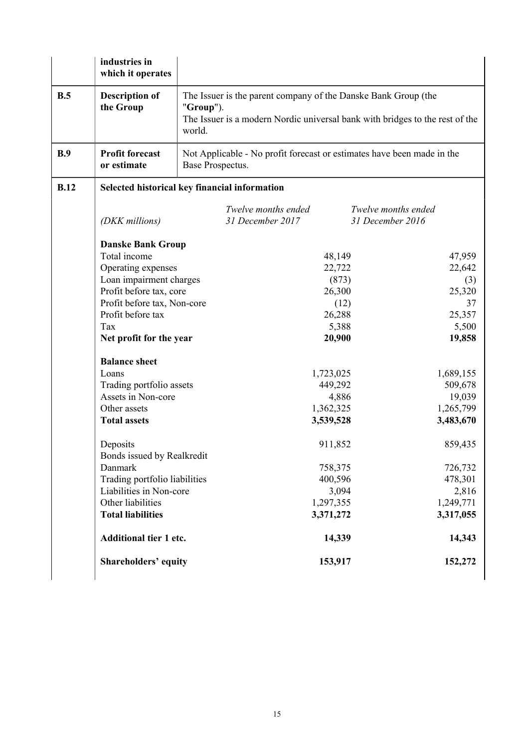|      | industries in<br>which it operates                                                                                                                                                                                                                                                                                                   |                                                                                                                                                                           |                                                                                                                                                                                                                                                                         |  |
|------|--------------------------------------------------------------------------------------------------------------------------------------------------------------------------------------------------------------------------------------------------------------------------------------------------------------------------------------|---------------------------------------------------------------------------------------------------------------------------------------------------------------------------|-------------------------------------------------------------------------------------------------------------------------------------------------------------------------------------------------------------------------------------------------------------------------|--|
| B.5  | <b>Description of</b><br>the Group                                                                                                                                                                                                                                                                                                   | The Issuer is the parent company of the Danske Bank Group (the<br>" $Group"$ ).<br>The Issuer is a modern Nordic universal bank with bridges to the rest of the<br>world. |                                                                                                                                                                                                                                                                         |  |
| B.9  | <b>Profit forecast</b><br>or estimate                                                                                                                                                                                                                                                                                                | Not Applicable - No profit forecast or estimates have been made in the<br>Base Prospectus.                                                                                |                                                                                                                                                                                                                                                                         |  |
| B.12 |                                                                                                                                                                                                                                                                                                                                      | Selected historical key financial information                                                                                                                             |                                                                                                                                                                                                                                                                         |  |
|      | (DKK millions)                                                                                                                                                                                                                                                                                                                       | Twelve months ended<br>31 December 2017                                                                                                                                   | Twelve months ended<br>31 December 2016                                                                                                                                                                                                                                 |  |
|      | <b>Danske Bank Group</b><br>Total income<br>Operating expenses<br>Loan impairment charges<br>Profit before tax, core<br>Profit before tax, Non-core<br>Profit before tax<br>Tax<br>Net profit for the year<br><b>Balance sheet</b><br>Loans<br>Trading portfolio assets<br>Assets in Non-core<br>Other assets<br><b>Total assets</b> |                                                                                                                                                                           | 47,959<br>48,149<br>22,722<br>22,642<br>(873)<br>(3)<br>25,320<br>26,300<br>(12)<br>37<br>26,288<br>25,357<br>5,388<br>5,500<br>20,900<br>19,858<br>1,723,025<br>1,689,155<br>449,292<br>509,678<br>19,039<br>4,886<br>1,265,799<br>1,362,325<br>3,539,528<br>3,483,670 |  |
|      | Deposits<br>Bonds issued by Realkredit<br>Danmark<br>Trading portfolio liabilities<br>Liabilities in Non-core<br>Other liabilities<br><b>Total liabilities</b><br><b>Additional tier 1 etc.</b><br><b>Shareholders' equity</b>                                                                                                       |                                                                                                                                                                           | 859,435<br>911,852<br>758,375<br>726,732<br>400,596<br>478,301<br>3,094<br>2,816<br>1,297,355<br>1,249,771<br>3,371,272<br>3,317,055<br>14,339<br>14,343<br>152,272<br>153,917                                                                                          |  |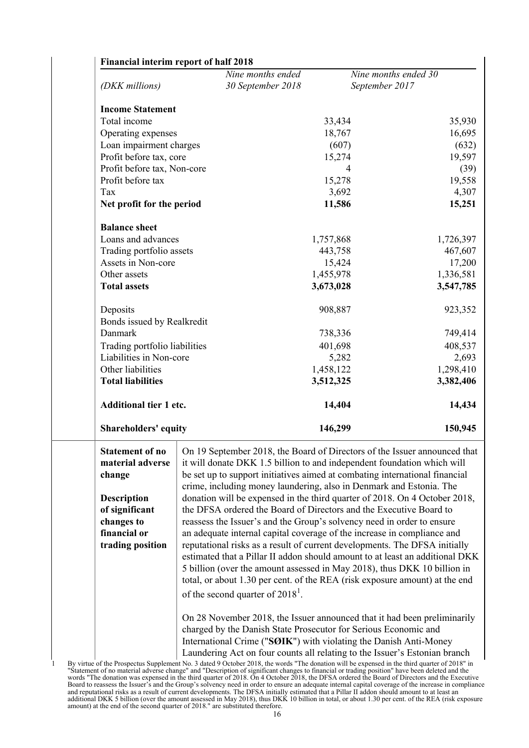|                                                                                                                                                | Nine months ended                                                                                                                                                                                                                                                                                                                                                                                                                                                                                                                                                                                                                                                                                                                                                                                                                                                                                                                                                                   |                | Nine months ended 30 |
|------------------------------------------------------------------------------------------------------------------------------------------------|-------------------------------------------------------------------------------------------------------------------------------------------------------------------------------------------------------------------------------------------------------------------------------------------------------------------------------------------------------------------------------------------------------------------------------------------------------------------------------------------------------------------------------------------------------------------------------------------------------------------------------------------------------------------------------------------------------------------------------------------------------------------------------------------------------------------------------------------------------------------------------------------------------------------------------------------------------------------------------------|----------------|----------------------|
| (DKK millions)                                                                                                                                 | 30 September 2018                                                                                                                                                                                                                                                                                                                                                                                                                                                                                                                                                                                                                                                                                                                                                                                                                                                                                                                                                                   | September 2017 |                      |
| <b>Income Statement</b>                                                                                                                        |                                                                                                                                                                                                                                                                                                                                                                                                                                                                                                                                                                                                                                                                                                                                                                                                                                                                                                                                                                                     |                |                      |
| Total income                                                                                                                                   |                                                                                                                                                                                                                                                                                                                                                                                                                                                                                                                                                                                                                                                                                                                                                                                                                                                                                                                                                                                     | 33,434         | 35,930               |
| Operating expenses                                                                                                                             |                                                                                                                                                                                                                                                                                                                                                                                                                                                                                                                                                                                                                                                                                                                                                                                                                                                                                                                                                                                     | 18,767         | 16,695               |
| Loan impairment charges                                                                                                                        |                                                                                                                                                                                                                                                                                                                                                                                                                                                                                                                                                                                                                                                                                                                                                                                                                                                                                                                                                                                     | (607)          | (632)                |
| Profit before tax, core                                                                                                                        |                                                                                                                                                                                                                                                                                                                                                                                                                                                                                                                                                                                                                                                                                                                                                                                                                                                                                                                                                                                     | 15,274         | 19,597               |
| Profit before tax, Non-core                                                                                                                    |                                                                                                                                                                                                                                                                                                                                                                                                                                                                                                                                                                                                                                                                                                                                                                                                                                                                                                                                                                                     | 4              | (39)                 |
| Profit before tax                                                                                                                              |                                                                                                                                                                                                                                                                                                                                                                                                                                                                                                                                                                                                                                                                                                                                                                                                                                                                                                                                                                                     | 15,278         | 19,558               |
| Tax                                                                                                                                            |                                                                                                                                                                                                                                                                                                                                                                                                                                                                                                                                                                                                                                                                                                                                                                                                                                                                                                                                                                                     | 3,692          | 4,307                |
| Net profit for the period                                                                                                                      |                                                                                                                                                                                                                                                                                                                                                                                                                                                                                                                                                                                                                                                                                                                                                                                                                                                                                                                                                                                     | 11,586         | 15,251               |
| <b>Balance sheet</b>                                                                                                                           |                                                                                                                                                                                                                                                                                                                                                                                                                                                                                                                                                                                                                                                                                                                                                                                                                                                                                                                                                                                     |                |                      |
| Loans and advances                                                                                                                             |                                                                                                                                                                                                                                                                                                                                                                                                                                                                                                                                                                                                                                                                                                                                                                                                                                                                                                                                                                                     | 1,757,868      | 1,726,397            |
| Trading portfolio assets                                                                                                                       |                                                                                                                                                                                                                                                                                                                                                                                                                                                                                                                                                                                                                                                                                                                                                                                                                                                                                                                                                                                     | 443,758        | 467,607              |
| Assets in Non-core                                                                                                                             |                                                                                                                                                                                                                                                                                                                                                                                                                                                                                                                                                                                                                                                                                                                                                                                                                                                                                                                                                                                     | 15,424         | 17,200               |
| Other assets                                                                                                                                   |                                                                                                                                                                                                                                                                                                                                                                                                                                                                                                                                                                                                                                                                                                                                                                                                                                                                                                                                                                                     | 1,455,978      | 1,336,581            |
| <b>Total assets</b>                                                                                                                            |                                                                                                                                                                                                                                                                                                                                                                                                                                                                                                                                                                                                                                                                                                                                                                                                                                                                                                                                                                                     | 3,673,028      | 3,547,785            |
| Deposits                                                                                                                                       |                                                                                                                                                                                                                                                                                                                                                                                                                                                                                                                                                                                                                                                                                                                                                                                                                                                                                                                                                                                     | 908,887        | 923,352              |
| Bonds issued by Realkredit                                                                                                                     |                                                                                                                                                                                                                                                                                                                                                                                                                                                                                                                                                                                                                                                                                                                                                                                                                                                                                                                                                                                     |                |                      |
| Danmark                                                                                                                                        |                                                                                                                                                                                                                                                                                                                                                                                                                                                                                                                                                                                                                                                                                                                                                                                                                                                                                                                                                                                     | 738,336        | 749,414              |
| Trading portfolio liabilities                                                                                                                  |                                                                                                                                                                                                                                                                                                                                                                                                                                                                                                                                                                                                                                                                                                                                                                                                                                                                                                                                                                                     | 401,698        | 408,537              |
| Liabilities in Non-core                                                                                                                        |                                                                                                                                                                                                                                                                                                                                                                                                                                                                                                                                                                                                                                                                                                                                                                                                                                                                                                                                                                                     | 5,282          | 2,693                |
| Other liabilities                                                                                                                              |                                                                                                                                                                                                                                                                                                                                                                                                                                                                                                                                                                                                                                                                                                                                                                                                                                                                                                                                                                                     | 1,458,122      | 1,298,410            |
| <b>Total liabilities</b>                                                                                                                       |                                                                                                                                                                                                                                                                                                                                                                                                                                                                                                                                                                                                                                                                                                                                                                                                                                                                                                                                                                                     | 3,512,325      | 3,382,406            |
| <b>Additional tier 1 etc.</b>                                                                                                                  |                                                                                                                                                                                                                                                                                                                                                                                                                                                                                                                                                                                                                                                                                                                                                                                                                                                                                                                                                                                     | 14,404         | 14,434               |
| <b>Shareholders' equity</b>                                                                                                                    |                                                                                                                                                                                                                                                                                                                                                                                                                                                                                                                                                                                                                                                                                                                                                                                                                                                                                                                                                                                     | 146,299        | 150,945              |
| <b>Statement of no</b><br>material adverse<br>change<br><b>Description</b><br>of significant<br>changes to<br>financial or<br>trading position | On 19 September 2018, the Board of Directors of the Issuer announced that<br>it will donate DKK 1.5 billion to and independent foundation which will<br>be set up to support initiatives aimed at combating international financial<br>crime, including money laundering, also in Denmark and Estonia. The<br>donation will be expensed in the third quarter of 2018. On 4 October 2018,<br>the DFSA ordered the Board of Directors and the Executive Board to<br>reassess the Issuer's and the Group's solvency need in order to ensure<br>an adequate internal capital coverage of the increase in compliance and<br>reputational risks as a result of current developments. The DFSA initially<br>estimated that a Pillar II addon should amount to at least an additional DKK<br>5 billion (over the amount assessed in May 2018), thus DKK 10 billion in<br>total, or about 1.30 per cent. of the REA (risk exposure amount) at the end<br>of the second quarter of $2018^1$ . |                |                      |
|                                                                                                                                                | On 28 November 2018, the Issuer announced that it had been preliminarily<br>charged by the Danish State Prosecutor for Serious Economic and<br>International Crime ("SØIK") with violating the Danish Anti-Money<br>Laundering Act on four counts all relating to the Issuer's Estonian branch                                                                                                                                                                                                                                                                                                                                                                                                                                                                                                                                                                                                                                                                                      |                |                      |

1 By virtue of the Prospectus Supplement No. 3 dated 9 October 2018, the words "The donation will be expensed in the third quarter of 2018" in "Statement of no material adverse change" and "Description of significant changes to financial or trading position" have been deleted and the words "The donation was expensed in the third quarter of 2018. On 4 October 2018, the DFSA ordered the Board of Directors and the Executive Board to reassess the Issuer's and the Group's solvency need in order to ensure an adequate internal capital coverage of the increase in compliance and reputational risks as a result of current developments. The DFSA initially estimated that a Pillar II addon should amount to at least an additional DKK 5 billion (over the amount assessed in May 2018), thus DKK 10 billion in total, or about 1.30 per cent. of the REA (risk exposure amount) at the end of the second quarter of 2018." are substituted therefore.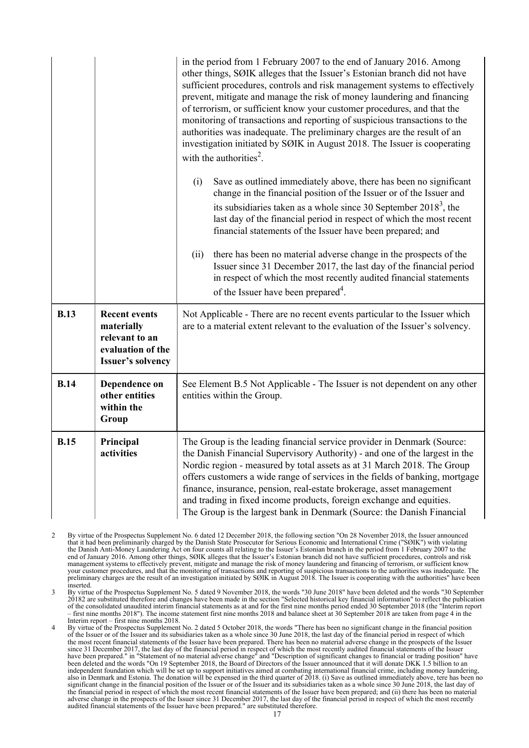|             |                                                                                                       | in the period from 1 February 2007 to the end of January 2016. Among<br>other things, SØIK alleges that the Issuer's Estonian branch did not have<br>sufficient procedures, controls and risk management systems to effectively<br>prevent, mitigate and manage the risk of money laundering and financing<br>of terrorism, or sufficient know your customer procedures, and that the<br>monitoring of transactions and reporting of suspicious transactions to the<br>authorities was inadequate. The preliminary charges are the result of an<br>investigation initiated by SØIK in August 2018. The Issuer is cooperating<br>with the authorities <sup>2</sup> .<br>Save as outlined immediately above, there has been no significant<br>(i) |  |
|-------------|-------------------------------------------------------------------------------------------------------|-------------------------------------------------------------------------------------------------------------------------------------------------------------------------------------------------------------------------------------------------------------------------------------------------------------------------------------------------------------------------------------------------------------------------------------------------------------------------------------------------------------------------------------------------------------------------------------------------------------------------------------------------------------------------------------------------------------------------------------------------|--|
|             |                                                                                                       | change in the financial position of the Issuer or of the Issuer and<br>its subsidiaries taken as a whole since 30 September $20183$ , the<br>last day of the financial period in respect of which the most recent<br>financial statements of the Issuer have been prepared; and                                                                                                                                                                                                                                                                                                                                                                                                                                                                 |  |
|             |                                                                                                       | there has been no material adverse change in the prospects of the<br>(ii)<br>Issuer since 31 December 2017, the last day of the financial period<br>in respect of which the most recently audited financial statements<br>of the Issuer have been prepared <sup>4</sup> .                                                                                                                                                                                                                                                                                                                                                                                                                                                                       |  |
| <b>B.13</b> | <b>Recent events</b><br>materially<br>relevant to an<br>evaluation of the<br><b>Issuer's solvency</b> | Not Applicable - There are no recent events particular to the Issuer which<br>are to a material extent relevant to the evaluation of the Issuer's solvency.                                                                                                                                                                                                                                                                                                                                                                                                                                                                                                                                                                                     |  |
| <b>B.14</b> | Dependence on<br>other entities<br>within the<br>Group                                                | See Element B.5 Not Applicable - The Issuer is not dependent on any other<br>entities within the Group.                                                                                                                                                                                                                                                                                                                                                                                                                                                                                                                                                                                                                                         |  |
| <b>B.15</b> | Principal<br>activities                                                                               | The Group is the leading financial service provider in Denmark (Source:<br>the Danish Financial Supervisory Authority) - and one of the largest in the<br>Nordic region - measured by total assets as at 31 March 2018. The Group<br>offers customers a wide range of services in the fields of banking, mortgage<br>finance, insurance, pension, real-estate brokerage, asset management<br>and trading in fixed income products, foreign exchange and equities.<br>The Group is the largest bank in Denmark (Source: the Danish Financial                                                                                                                                                                                                     |  |

2 By virtue of the Prospectus Supplement No. 6 dated 12 December 2018, the following section "On 28 November 2018, the Issuer announced that it had been preliminarily charged by the Danish State Prosecutor for Serious Economic and International Crime ("SØIK") with violating the Danish Anti-Money Laundering Act on four counts all relating to the Issuer's Estonian branch in the period from 1 February 2007 to the end of January 2016. Among other things, SØIK alleges that the Issuer's Estonian branch did not have sufficient procedures, controls and risk management systems to effectively prevent, mitigate and manage the risk of money laundering and financing of terrorism, or sufficient know your customer procedures, and that the monitoring of transactions and reporting of suspicious transactions to the authorities was inadequate. The preliminary charges are the result of an investigation initiated by SØIK in August 2018. The Issuer is cooperating with the authorities" have been inserted.

3 By virtue of the Prospectus Supplement No. 5 dated 9 November 2018, the words "30 June 2018" have been deleted and the words "30 September 20182 are substituted therefore and changes have been made in the section "Selected historical key financial information" to reflect the publication of the consolidated unaudited interim financial statements as at and for the first nine months period ended 30 September 2018 (the "Interim report – first nine months 2018"). The income statement first nine months 2018 and balance sheet at 30 September 2018 are taken from page 4 in the Interim report – first nine months 2018.

4 By virtue of the Prospectus Supplement No. 2 dated 5 October 2018, the words "There has been no significant change in the financial position of the Issuer or of the Issuer and its subsidiaries taken as a whole since 30 June 2018, the last day of the financial period in respect of which<br>the most recent financial statements of the Issuer have been prepared. There since 31 December 2017, the last day of the financial period in respect of which the most recently audited financial statements of the Issuer have been prepared." in "Statement of no material adverse change" and "Description of significant changes to financial or trading position" have been deleted and the words "On 19 September 2018, the Board of Directors of the Issuer announced that it will donate DKK 1.5 billion to an independent foundation which will be set up to support initiatives aimed at combating international financial crime, including money laundering, also in Denmark and Estonia. The donation will be expensed in the third quarter of 2018. (i) Save as outlined immediately above, tere has been no significant change in the financial position of the Issuer or of the Issuer and its subsidiaries taken as a whole since 30 June 2018, the last day of the financial period in respect of which the most recent financial statements of the Issuer have been prepared; and (ii) there has been no material adverse change in the prospects of the Issuer since 31 December 2017, the last day of the financial period in respect of which the most recently audited financial statements of the Issuer have been prepared." are substituted therefore.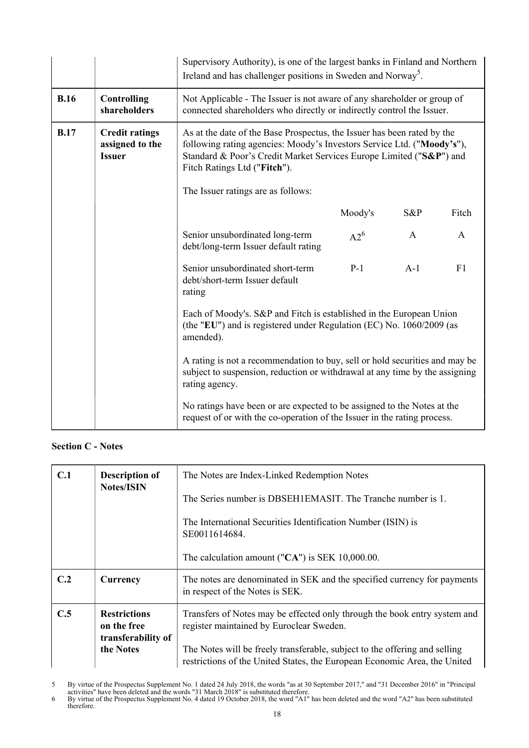|             |                                                           | Supervisory Authority), is one of the largest banks in Finland and Northern<br>Ireland and has challenger positions in Sweden and Norway <sup>5</sup> .                                                                                                  |         |              |              |
|-------------|-----------------------------------------------------------|----------------------------------------------------------------------------------------------------------------------------------------------------------------------------------------------------------------------------------------------------------|---------|--------------|--------------|
| <b>B.16</b> | <b>Controlling</b><br>shareholders                        | Not Applicable - The Issuer is not aware of any shareholder or group of<br>connected shareholders who directly or indirectly control the Issuer.                                                                                                         |         |              |              |
| <b>B.17</b> | <b>Credit ratings</b><br>assigned to the<br><b>Issuer</b> | As at the date of the Base Prospectus, the Issuer has been rated by the<br>following rating agencies: Moody's Investors Service Ltd. ("Moody's"),<br>Standard & Poor's Credit Market Services Europe Limited ("S&P") and<br>Fitch Ratings Ltd ("Fitch"). |         |              |              |
|             |                                                           | The Issuer ratings are as follows:                                                                                                                                                                                                                       |         |              |              |
|             |                                                           |                                                                                                                                                                                                                                                          | Moody's | S&P          | Fitch        |
|             |                                                           | Senior unsubordinated long-term<br>debt/long-term Issuer default rating                                                                                                                                                                                  | $A2^6$  | $\mathbf{A}$ | $\mathsf{A}$ |
|             |                                                           | Senior unsubordinated short-term<br>debt/short-term Issuer default<br>rating                                                                                                                                                                             | $P-1$   | $A-1$        | F1           |
|             |                                                           | Each of Moody's. S&P and Fitch is established in the European Union<br>(the "EU") and is registered under Regulation (EC) No. 1060/2009 (as<br>amended).                                                                                                 |         |              |              |
|             |                                                           | A rating is not a recommendation to buy, sell or hold securities and may be<br>subject to suspension, reduction or withdrawal at any time by the assigning<br>rating agency.                                                                             |         |              |              |
|             |                                                           | No ratings have been or are expected to be assigned to the Notes at the<br>request of or with the co-operation of the Issuer in the rating process.                                                                                                      |         |              |              |

# **Section C - Notes**

| C.1 | <b>Description of</b><br><b>Notes/ISIN</b>                            | The Notes are Index-Linked Redemption Notes<br>The Series number is DBSEH1EMASIT. The Tranche number is 1.<br>The International Securities Identification Number (ISIN) is<br>SE0011614684.<br>The calculation amount (" $CA$ ") is SEK 10,000.00.                               |
|-----|-----------------------------------------------------------------------|----------------------------------------------------------------------------------------------------------------------------------------------------------------------------------------------------------------------------------------------------------------------------------|
|     |                                                                       |                                                                                                                                                                                                                                                                                  |
| C.2 | Currency                                                              | The notes are denominated in SEK and the specified currency for payments<br>in respect of the Notes is SEK.                                                                                                                                                                      |
| C.5 | <b>Restrictions</b><br>on the free<br>transferability of<br>the Notes | Transfers of Notes may be effected only through the book entry system and<br>register maintained by Euroclear Sweden.<br>The Notes will be freely transferable, subject to the offering and selling<br>restrictions of the United States, the European Economic Area, the United |

<sup>5</sup> By virtue of the Prospectus Supplement No. 1 dated 24 July 2018, the words "as at 30 September 2017," and "31 December 2016" in "Principal activities" have been deleted and the words "31 March 2018" is substituted therefore.

<sup>6</sup> By virtue of the Prospectus Supplement No. 4 dated 19 October 2018, the word "A1" has been deleted and the word "A2" has been substituted therefore.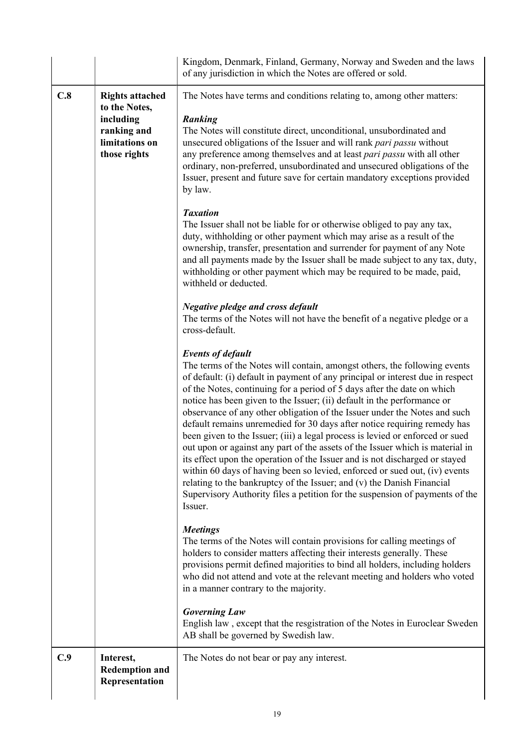|     |                                                                                                       | Kingdom, Denmark, Finland, Germany, Norway and Sweden and the laws<br>of any jurisdiction in which the Notes are offered or sold.                                                                                                                                                                                                                                                                                                                                                                                                                                                                                                                                                                                                                                                                                                                                                                                                                                                                          |
|-----|-------------------------------------------------------------------------------------------------------|------------------------------------------------------------------------------------------------------------------------------------------------------------------------------------------------------------------------------------------------------------------------------------------------------------------------------------------------------------------------------------------------------------------------------------------------------------------------------------------------------------------------------------------------------------------------------------------------------------------------------------------------------------------------------------------------------------------------------------------------------------------------------------------------------------------------------------------------------------------------------------------------------------------------------------------------------------------------------------------------------------|
| C.8 | <b>Rights attached</b><br>to the Notes,<br>including<br>ranking and<br>limitations on<br>those rights | The Notes have terms and conditions relating to, among other matters:<br><b>Ranking</b><br>The Notes will constitute direct, unconditional, unsubordinated and<br>unsecured obligations of the Issuer and will rank pari passu without<br>any preference among themselves and at least pari passu with all other<br>ordinary, non-preferred, unsubordinated and unsecured obligations of the<br>Issuer, present and future save for certain mandatory exceptions provided<br>by law.                                                                                                                                                                                                                                                                                                                                                                                                                                                                                                                       |
|     |                                                                                                       | <b>Taxation</b><br>The Issuer shall not be liable for or otherwise obliged to pay any tax,<br>duty, withholding or other payment which may arise as a result of the<br>ownership, transfer, presentation and surrender for payment of any Note<br>and all payments made by the Issuer shall be made subject to any tax, duty,<br>withholding or other payment which may be required to be made, paid,<br>withheld or deducted.                                                                                                                                                                                                                                                                                                                                                                                                                                                                                                                                                                             |
|     |                                                                                                       | <b>Negative pledge and cross default</b><br>The terms of the Notes will not have the benefit of a negative pledge or a<br>cross-default.                                                                                                                                                                                                                                                                                                                                                                                                                                                                                                                                                                                                                                                                                                                                                                                                                                                                   |
|     |                                                                                                       | <b>Events of default</b><br>The terms of the Notes will contain, amongst others, the following events<br>of default: (i) default in payment of any principal or interest due in respect<br>of the Notes, continuing for a period of 5 days after the date on which<br>notice has been given to the Issuer; (ii) default in the performance or<br>observance of any other obligation of the Issuer under the Notes and such<br>default remains unremedied for 30 days after notice requiring remedy has<br>been given to the Issuer; (iii) a legal process is levied or enforced or sued<br>out upon or against any part of the assets of the Issuer which is material in<br>its effect upon the operation of the Issuer and is not discharged or stayed<br>within 60 days of having been so levied, enforced or sued out, (iv) events<br>relating to the bankruptcy of the Issuer; and (v) the Danish Financial<br>Supervisory Authority files a petition for the suspension of payments of the<br>Issuer. |
|     |                                                                                                       | <b>Meetings</b><br>The terms of the Notes will contain provisions for calling meetings of<br>holders to consider matters affecting their interests generally. These<br>provisions permit defined majorities to bind all holders, including holders<br>who did not attend and vote at the relevant meeting and holders who voted<br>in a manner contrary to the majority.                                                                                                                                                                                                                                                                                                                                                                                                                                                                                                                                                                                                                                   |
|     |                                                                                                       | <b>Governing Law</b><br>English law, except that the resgistration of the Notes in Euroclear Sweden<br>AB shall be governed by Swedish law.                                                                                                                                                                                                                                                                                                                                                                                                                                                                                                                                                                                                                                                                                                                                                                                                                                                                |
| C.9 | Interest,<br><b>Redemption and</b><br>Representation                                                  | The Notes do not bear or pay any interest.                                                                                                                                                                                                                                                                                                                                                                                                                                                                                                                                                                                                                                                                                                                                                                                                                                                                                                                                                                 |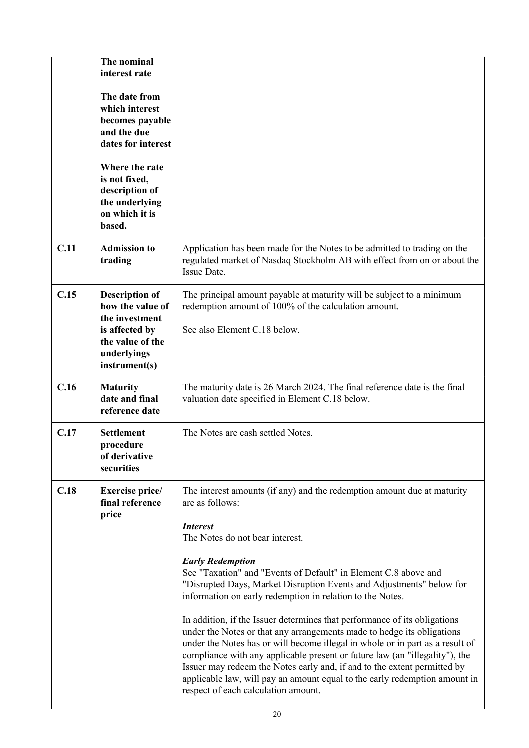|      | The nominal<br>interest rate<br>The date from<br>which interest<br>becomes payable<br>and the due<br>dates for interest<br>Where the rate<br>is not fixed,<br>description of<br>the underlying<br>on which it is<br>based. |                                                                                                                                                                                                                                                                                                                                                                                                                                                                                                                                                                                                                                                                                                                                                                                                                                                                                                             |
|------|----------------------------------------------------------------------------------------------------------------------------------------------------------------------------------------------------------------------------|-------------------------------------------------------------------------------------------------------------------------------------------------------------------------------------------------------------------------------------------------------------------------------------------------------------------------------------------------------------------------------------------------------------------------------------------------------------------------------------------------------------------------------------------------------------------------------------------------------------------------------------------------------------------------------------------------------------------------------------------------------------------------------------------------------------------------------------------------------------------------------------------------------------|
| C.11 | <b>Admission to</b><br>trading                                                                                                                                                                                             | Application has been made for the Notes to be admitted to trading on the<br>regulated market of Nasdaq Stockholm AB with effect from on or about the<br>Issue Date.                                                                                                                                                                                                                                                                                                                                                                                                                                                                                                                                                                                                                                                                                                                                         |
| C.15 | <b>Description of</b><br>how the value of<br>the investment<br>is affected by<br>the value of the<br>underlyings<br>instrument(s)                                                                                          | The principal amount payable at maturity will be subject to a minimum<br>redemption amount of 100% of the calculation amount.<br>See also Element C.18 below.                                                                                                                                                                                                                                                                                                                                                                                                                                                                                                                                                                                                                                                                                                                                               |
| C.16 | <b>Maturity</b><br>date and final<br>reference date                                                                                                                                                                        | The maturity date is 26 March 2024. The final reference date is the final<br>valuation date specified in Element C.18 below.                                                                                                                                                                                                                                                                                                                                                                                                                                                                                                                                                                                                                                                                                                                                                                                |
| C.17 | <b>Settlement</b><br>procedure<br>of derivative<br>securities                                                                                                                                                              | The Notes are cash settled Notes.                                                                                                                                                                                                                                                                                                                                                                                                                                                                                                                                                                                                                                                                                                                                                                                                                                                                           |
| C.18 | Exercise price/<br>final reference<br>price                                                                                                                                                                                | The interest amounts (if any) and the redemption amount due at maturity<br>are as follows:<br><b>Interest</b><br>The Notes do not bear interest.<br><b>Early Redemption</b><br>See "Taxation" and "Events of Default" in Element C.8 above and<br>"Disrupted Days, Market Disruption Events and Adjustments" below for<br>information on early redemption in relation to the Notes.<br>In addition, if the Issuer determines that performance of its obligations<br>under the Notes or that any arrangements made to hedge its obligations<br>under the Notes has or will become illegal in whole or in part as a result of<br>compliance with any applicable present or future law (an "illegality"), the<br>Issuer may redeem the Notes early and, if and to the extent permitted by<br>applicable law, will pay an amount equal to the early redemption amount in<br>respect of each calculation amount. |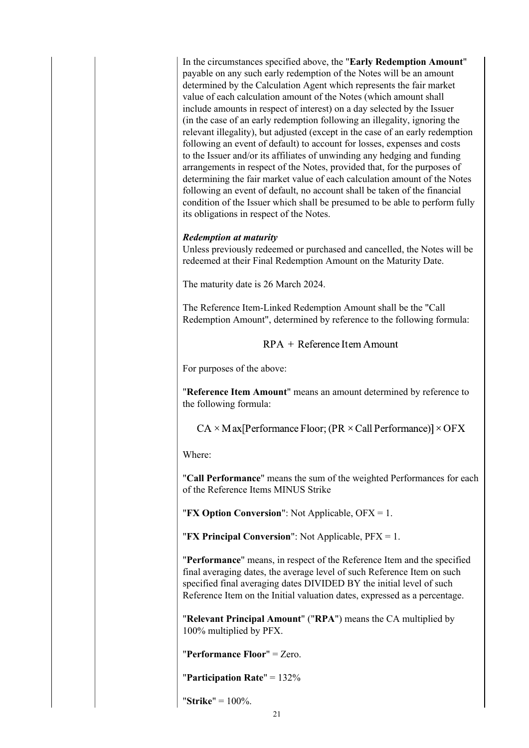In the circumstances specified above, the "**Early Redemption Amount**" payable on any such early redemption of the Notes will be an amount determined by the Calculation Agent which represents the fair market value of each calculation amount of the Notes (which amount shall include amounts in respect of interest) on a day selected by the Issuer (in the case of an early redemption following an illegality, ignoring the relevant illegality), but adjusted (except in the case of an early redemption following an event of default) to account for losses, expenses and costs to the Issuer and/or its affiliates of unwinding any hedging and funding arrangements in respect of the Notes, provided that, for the purposes of determining the fair market value of each calculation amount of the Notes following an event of default, no account shall be taken of the financial condition of the Issuer which shall be presumed to be able to perform fully its obligations in respect of the Notes.

#### *Redemption at maturity*

Unless previously redeemed or purchased and cancelled, the Notes will be redeemed at their Final Redemption Amount on the Maturity Date.

The maturity date is 26 March 2024.

The Reference Item-Linked Redemption Amount shall be the "Call Redemption Amount", determined by reference to the following formula:

 $RPA + Reference Item Amount$ 

For purposes of the above:

"**Reference Item Amount**" means an amount determined by reference to the following formula:

 $CA \times Max[Performance Floor; (PR \times Call Performance)] \times OFX$ 

Where:

"**Call Performance**" means the sum of the weighted Performances for each of the Reference Items MINUS Strike

"**FX Option Conversion**": Not Applicable, OFX = 1.

"**FX Principal Conversion**": Not Applicable, PFX = 1.

"**Performance**" means, in respect of the Reference Item and the specified final averaging dates, the average level of such Reference Item on such specified final averaging dates DIVIDED BY the initial level of such Reference Item on the Initial valuation dates, expressed as a percentage.

"**Relevant Principal Amount**" ("**RPA**") means the CA multiplied by 100% multiplied by PFX.

"**Performance Floor**" = Zero.

"**Participation Rate**" = 132%

"**Strike**" = 100%.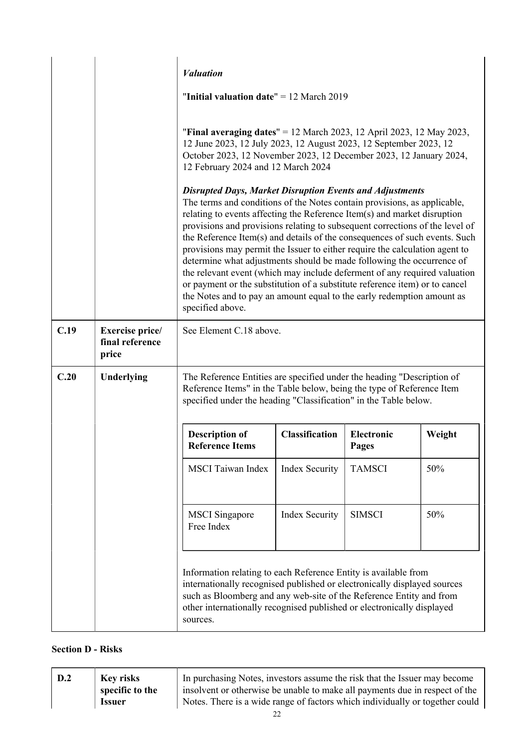|      |                                             | <b><i>Valuation</i></b><br>"Initial valuation date" $= 12$ March 2019<br>"Final averaging dates" = 12 March 2023, 12 April 2023, 12 May 2023,<br>12 June 2023, 12 July 2023, 12 August 2023, 12 September 2023, 12<br>October 2023, 12 November 2023, 12 December 2023, 12 January 2024,<br>12 February 2024 and 12 March 2024<br><b>Disrupted Days, Market Disruption Events and Adjustments</b><br>The terms and conditions of the Notes contain provisions, as applicable,<br>relating to events affecting the Reference Item(s) and market disruption<br>provisions and provisions relating to subsequent corrections of the level of<br>the Reference Item(s) and details of the consequences of such events. Such<br>provisions may permit the Issuer to either require the calculation agent to<br>determine what adjustments should be made following the occurrence of |                       |                     |        |
|------|---------------------------------------------|---------------------------------------------------------------------------------------------------------------------------------------------------------------------------------------------------------------------------------------------------------------------------------------------------------------------------------------------------------------------------------------------------------------------------------------------------------------------------------------------------------------------------------------------------------------------------------------------------------------------------------------------------------------------------------------------------------------------------------------------------------------------------------------------------------------------------------------------------------------------------------|-----------------------|---------------------|--------|
|      |                                             | the relevant event (which may include deferment of any required valuation<br>or payment or the substitution of a substitute reference item) or to cancel<br>the Notes and to pay an amount equal to the early redemption amount as<br>specified above.                                                                                                                                                                                                                                                                                                                                                                                                                                                                                                                                                                                                                          |                       |                     |        |
| C.19 | Exercise price/<br>final reference<br>price | See Element C.18 above.                                                                                                                                                                                                                                                                                                                                                                                                                                                                                                                                                                                                                                                                                                                                                                                                                                                         |                       |                     |        |
| C.20 | Underlying                                  | The Reference Entities are specified under the heading "Description of<br>Reference Items" in the Table below, being the type of Reference Item<br>specified under the heading "Classification" in the Table below.                                                                                                                                                                                                                                                                                                                                                                                                                                                                                                                                                                                                                                                             |                       |                     |        |
|      |                                             | <b>Description of</b><br><b>Reference Items</b>                                                                                                                                                                                                                                                                                                                                                                                                                                                                                                                                                                                                                                                                                                                                                                                                                                 | <b>Classification</b> | Electronic<br>Pages | Weight |
|      |                                             | <b>MSCI</b> Taiwan Index                                                                                                                                                                                                                                                                                                                                                                                                                                                                                                                                                                                                                                                                                                                                                                                                                                                        | <b>Index Security</b> | <b>TAMSCI</b>       | 50%    |
|      |                                             | <b>MSCI</b> Singapore<br>Free Index                                                                                                                                                                                                                                                                                                                                                                                                                                                                                                                                                                                                                                                                                                                                                                                                                                             | <b>Index Security</b> | <b>SIMSCI</b>       | 50%    |
|      |                                             | Information relating to each Reference Entity is available from<br>internationally recognised published or electronically displayed sources<br>such as Bloomberg and any web-site of the Reference Entity and from<br>other internationally recognised published or electronically displayed<br>sources.                                                                                                                                                                                                                                                                                                                                                                                                                                                                                                                                                                        |                       |                     |        |

# **Section D - Risks**

| $\vert$ D.2 | <b>Key risks</b> | In purchasing Notes, investors assume the risk that the Issuer may become    |
|-------------|------------------|------------------------------------------------------------------------------|
|             | specific to the  | insolvent or otherwise be unable to make all payments due in respect of the  |
|             | <b>Issuer</b>    | Notes. There is a wide range of factors which individually or together could |
|             |                  |                                                                              |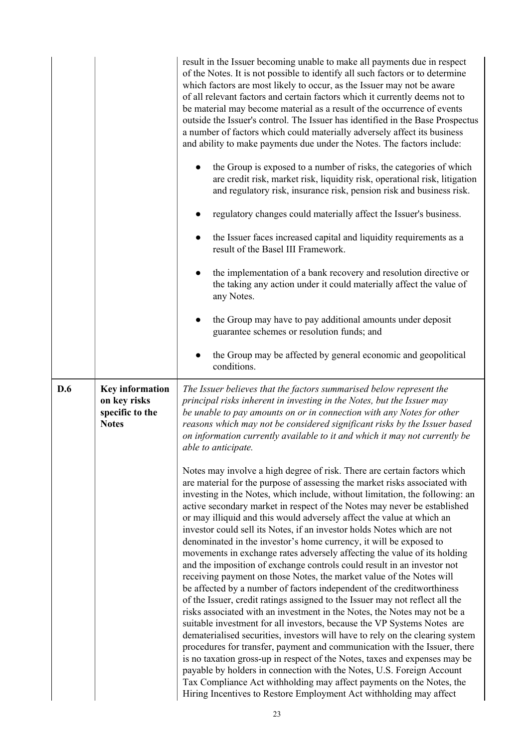|     |                                                                           | result in the Issuer becoming unable to make all payments due in respect<br>of the Notes. It is not possible to identify all such factors or to determine<br>which factors are most likely to occur, as the Issuer may not be aware<br>of all relevant factors and certain factors which it currently deems not to<br>be material may become material as a result of the occurrence of events<br>outside the Issuer's control. The Issuer has identified in the Base Prospectus<br>a number of factors which could materially adversely affect its business<br>and ability to make payments due under the Notes. The factors include:<br>the Group is exposed to a number of risks, the categories of which<br>are credit risk, market risk, liquidity risk, operational risk, litigation<br>and regulatory risk, insurance risk, pension risk and business risk.<br>regulatory changes could materially affect the Issuer's business.<br>the Issuer faces increased capital and liquidity requirements as a<br>$\bullet$<br>result of the Basel III Framework.<br>the implementation of a bank recovery and resolution directive or<br>$\bullet$<br>the taking any action under it could materially affect the value of<br>any Notes.<br>the Group may have to pay additional amounts under deposit<br>guarantee schemes or resolution funds; and<br>the Group may be affected by general economic and geopolitical<br>conditions.                                                                                                                                                                                                                                                                                                                                                                                                                                                                                                                                         |
|-----|---------------------------------------------------------------------------|-----------------------------------------------------------------------------------------------------------------------------------------------------------------------------------------------------------------------------------------------------------------------------------------------------------------------------------------------------------------------------------------------------------------------------------------------------------------------------------------------------------------------------------------------------------------------------------------------------------------------------------------------------------------------------------------------------------------------------------------------------------------------------------------------------------------------------------------------------------------------------------------------------------------------------------------------------------------------------------------------------------------------------------------------------------------------------------------------------------------------------------------------------------------------------------------------------------------------------------------------------------------------------------------------------------------------------------------------------------------------------------------------------------------------------------------------------------------------------------------------------------------------------------------------------------------------------------------------------------------------------------------------------------------------------------------------------------------------------------------------------------------------------------------------------------------------------------------------------------------------------------------------------------------------------------------------------------------------------|
| D.6 | <b>Key information</b><br>on key risks<br>specific to the<br><b>Notes</b> | The Issuer believes that the factors summarised below represent the<br>principal risks inherent in investing in the Notes, but the Issuer may<br>be unable to pay amounts on or in connection with any Notes for other<br>reasons which may not be considered significant risks by the Issuer based<br>on information currently available to it and which it may not currently be<br>able to anticipate.<br>Notes may involve a high degree of risk. There are certain factors which<br>are material for the purpose of assessing the market risks associated with<br>investing in the Notes, which include, without limitation, the following: an<br>active secondary market in respect of the Notes may never be established<br>or may illiquid and this would adversely affect the value at which an<br>investor could sell its Notes, if an investor holds Notes which are not<br>denominated in the investor's home currency, it will be exposed to<br>movements in exchange rates adversely affecting the value of its holding<br>and the imposition of exchange controls could result in an investor not<br>receiving payment on those Notes, the market value of the Notes will<br>be affected by a number of factors independent of the creditworthiness<br>of the Issuer, credit ratings assigned to the Issuer may not reflect all the<br>risks associated with an investment in the Notes, the Notes may not be a<br>suitable investment for all investors, because the VP Systems Notes are<br>dematerialised securities, investors will have to rely on the clearing system<br>procedures for transfer, payment and communication with the Issuer, there<br>is no taxation gross-up in respect of the Notes, taxes and expenses may be<br>payable by holders in connection with the Notes, U.S. Foreign Account<br>Tax Compliance Act withholding may affect payments on the Notes, the<br>Hiring Incentives to Restore Employment Act withholding may affect |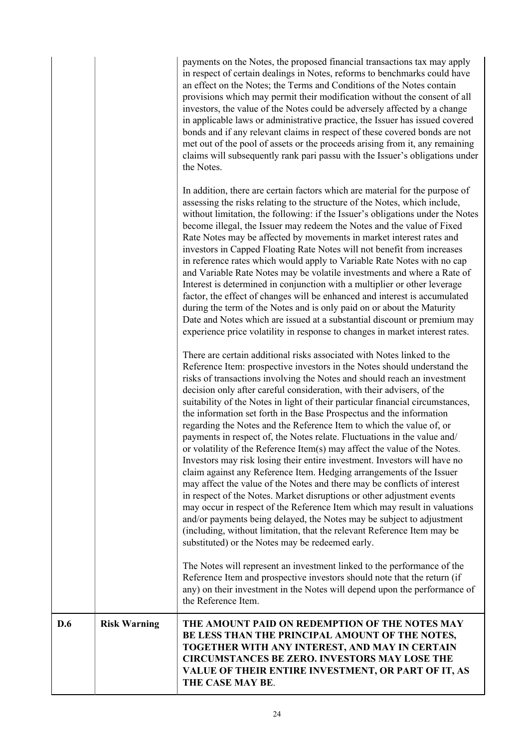| D.6 | <b>Risk Warning</b> | THE AMOUNT PAID ON REDEMPTION OF THE NOTES MAY<br>BE LESS THAN THE PRINCIPAL AMOUNT OF THE NOTES,<br>TOGETHER WITH ANY INTEREST, AND MAY IN CERTAIN<br><b>CIRCUMSTANCES BE ZERO. INVESTORS MAY LOSE THE</b><br>VALUE OF THEIR ENTIRE INVESTMENT, OR PART OF IT, AS<br>THE CASE MAY BE.                                                                                                                                                                                                                                                                                                                                                                                                                                                                                                                                                                                                                                                                                                                                                                                                                                                                                                                                                                                                             |
|-----|---------------------|----------------------------------------------------------------------------------------------------------------------------------------------------------------------------------------------------------------------------------------------------------------------------------------------------------------------------------------------------------------------------------------------------------------------------------------------------------------------------------------------------------------------------------------------------------------------------------------------------------------------------------------------------------------------------------------------------------------------------------------------------------------------------------------------------------------------------------------------------------------------------------------------------------------------------------------------------------------------------------------------------------------------------------------------------------------------------------------------------------------------------------------------------------------------------------------------------------------------------------------------------------------------------------------------------|
|     |                     | The Notes will represent an investment linked to the performance of the<br>Reference Item and prospective investors should note that the return (if<br>any) on their investment in the Notes will depend upon the performance of<br>the Reference Item.                                                                                                                                                                                                                                                                                                                                                                                                                                                                                                                                                                                                                                                                                                                                                                                                                                                                                                                                                                                                                                            |
|     |                     | There are certain additional risks associated with Notes linked to the<br>Reference Item: prospective investors in the Notes should understand the<br>risks of transactions involving the Notes and should reach an investment<br>decision only after careful consideration, with their advisers, of the<br>suitability of the Notes in light of their particular financial circumstances,<br>the information set forth in the Base Prospectus and the information<br>regarding the Notes and the Reference Item to which the value of, or<br>payments in respect of, the Notes relate. Fluctuations in the value and/<br>or volatility of the Reference Item(s) may affect the value of the Notes<br>Investors may risk losing their entire investment. Investors will have no<br>claim against any Reference Item. Hedging arrangements of the Issuer<br>may affect the value of the Notes and there may be conflicts of interest<br>in respect of the Notes. Market disruptions or other adjustment events<br>may occur in respect of the Reference Item which may result in valuations<br>and/or payments being delayed, the Notes may be subject to adjustment<br>(including, without limitation, that the relevant Reference Item may be<br>substituted) or the Notes may be redeemed early. |
|     |                     | In addition, there are certain factors which are material for the purpose of<br>assessing the risks relating to the structure of the Notes, which include,<br>without limitation, the following: if the Issuer's obligations under the Notes<br>become illegal, the Issuer may redeem the Notes and the value of Fixed<br>Rate Notes may be affected by movements in market interest rates and<br>investors in Capped Floating Rate Notes will not benefit from increases<br>in reference rates which would apply to Variable Rate Notes with no cap<br>and Variable Rate Notes may be volatile investments and where a Rate of<br>Interest is determined in conjunction with a multiplier or other leverage<br>factor, the effect of changes will be enhanced and interest is accumulated<br>during the term of the Notes and is only paid on or about the Maturity<br>Date and Notes which are issued at a substantial discount or premium may<br>experience price volatility in response to changes in market interest rates.                                                                                                                                                                                                                                                                   |
|     |                     | payments on the Notes, the proposed financial transactions tax may apply<br>in respect of certain dealings in Notes, reforms to benchmarks could have<br>an effect on the Notes; the Terms and Conditions of the Notes contain<br>provisions which may permit their modification without the consent of all<br>investors, the value of the Notes could be adversely affected by a change<br>in applicable laws or administrative practice, the Issuer has issued covered<br>bonds and if any relevant claims in respect of these covered bonds are not<br>met out of the pool of assets or the proceeds arising from it, any remaining<br>claims will subsequently rank pari passu with the Issuer's obligations under<br>the Notes.                                                                                                                                                                                                                                                                                                                                                                                                                                                                                                                                                               |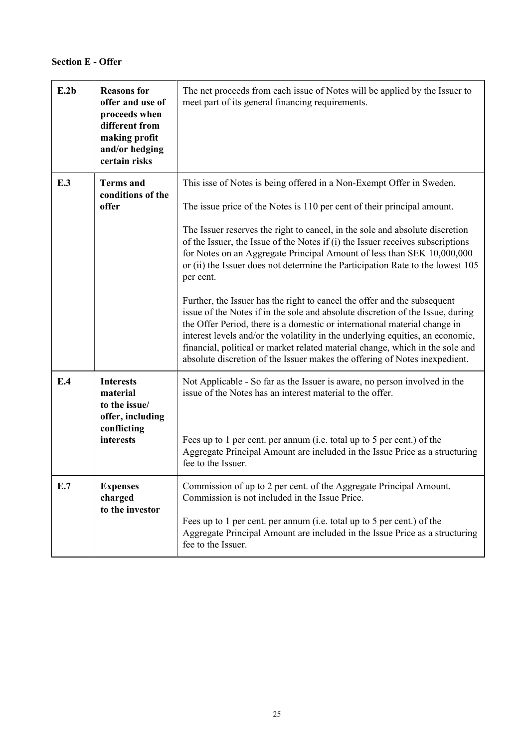| E.2b | <b>Reasons for</b><br>offer and use of<br>proceeds when<br>different from<br>making profit<br>and/or hedging<br>certain risks | The net proceeds from each issue of Notes will be applied by the Issuer to<br>meet part of its general financing requirements.                                                                                                                                                                                                                                                                                                                                                                                                                                                                                                                                                                                                                                                                                                                                                                                                                                                         |
|------|-------------------------------------------------------------------------------------------------------------------------------|----------------------------------------------------------------------------------------------------------------------------------------------------------------------------------------------------------------------------------------------------------------------------------------------------------------------------------------------------------------------------------------------------------------------------------------------------------------------------------------------------------------------------------------------------------------------------------------------------------------------------------------------------------------------------------------------------------------------------------------------------------------------------------------------------------------------------------------------------------------------------------------------------------------------------------------------------------------------------------------|
| E.3  | <b>Terms</b> and<br>conditions of the<br>offer                                                                                | This isse of Notes is being offered in a Non-Exempt Offer in Sweden.<br>The issue price of the Notes is 110 per cent of their principal amount.<br>The Issuer reserves the right to cancel, in the sole and absolute discretion<br>of the Issuer, the Issue of the Notes if (i) the Issuer receives subscriptions<br>for Notes on an Aggregate Principal Amount of less than SEK 10,000,000<br>or (ii) the Issuer does not determine the Participation Rate to the lowest 105<br>per cent.<br>Further, the Issuer has the right to cancel the offer and the subsequent<br>issue of the Notes if in the sole and absolute discretion of the Issue, during<br>the Offer Period, there is a domestic or international material change in<br>interest levels and/or the volatility in the underlying equities, an economic,<br>financial, political or market related material change, which in the sole and<br>absolute discretion of the Issuer makes the offering of Notes inexpedient. |
| E.4  | <b>Interests</b><br>material<br>to the issue/<br>offer, including<br>conflicting<br>interests                                 | Not Applicable - So far as the Issuer is aware, no person involved in the<br>issue of the Notes has an interest material to the offer.<br>Fees up to 1 per cent. per annum (i.e. total up to 5 per cent.) of the<br>Aggregate Principal Amount are included in the Issue Price as a structuring<br>fee to the Issuer.                                                                                                                                                                                                                                                                                                                                                                                                                                                                                                                                                                                                                                                                  |
| E.7  | <b>Expenses</b><br>charged<br>to the investor                                                                                 | Commission of up to 2 per cent. of the Aggregate Principal Amount.<br>Commission is not included in the Issue Price.<br>Fees up to 1 per cent. per annum (i.e. total up to 5 per cent.) of the<br>Aggregate Principal Amount are included in the Issue Price as a structuring<br>fee to the Issuer.                                                                                                                                                                                                                                                                                                                                                                                                                                                                                                                                                                                                                                                                                    |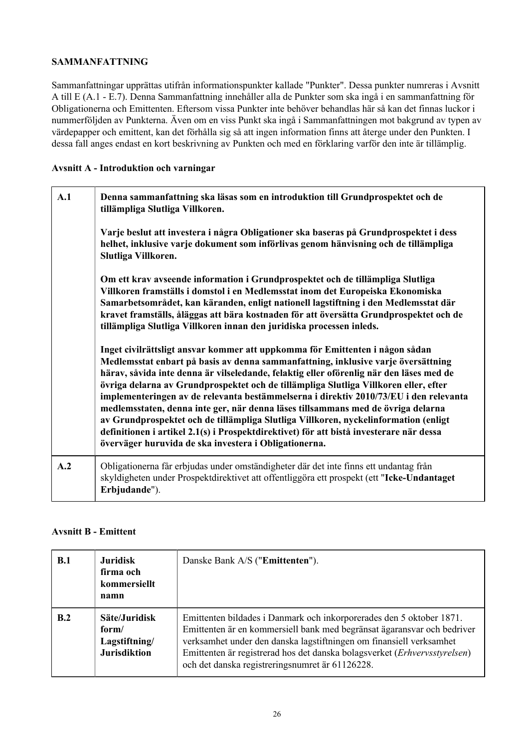## **SAMMANFATTNING**

Sammanfattningar upprättas utifrån informationspunkter kallade "Punkter". Dessa punkter numreras i Avsnitt A till E (A.1 - E.7). Denna Sammanfattning innehåller alla de Punkter som ska ingå i en sammanfattning för Obligationerna och Emittenten. Eftersom vissa Punkter inte behöver behandlas här så kan det finnas luckor i nummerföljden av Punkterna. Även om en viss Punkt ska ingå i Sammanfattningen mot bakgrund av typen av värdepapper och emittent, kan det förhålla sig så att ingen information finns att återge under den Punkten. I dessa fall anges endast en kort beskrivning av Punkten och med en förklaring varför den inte är tillämplig.

## **Avsnitt A - Introduktion och varningar**

| A.1 | Denna sammanfattning ska läsas som en introduktion till Grundprospektet och de<br>tillämpliga Slutliga Villkoren.<br>Varje beslut att investera i några Obligationer ska baseras på Grundprospektet i dess<br>helhet, inklusive varje dokument som införlivas genom hänvisning och de tillämpliga<br>Slutliga Villkoren.<br>Om ett krav avseende information i Grundprospektet och de tillämpliga Slutliga                                                                                                                                                                                                                                                                                                                                                                   |
|-----|------------------------------------------------------------------------------------------------------------------------------------------------------------------------------------------------------------------------------------------------------------------------------------------------------------------------------------------------------------------------------------------------------------------------------------------------------------------------------------------------------------------------------------------------------------------------------------------------------------------------------------------------------------------------------------------------------------------------------------------------------------------------------|
|     | Villkoren framställs i domstol i en Medlemsstat inom det Europeiska Ekonomiska<br>Samarbetsområdet, kan käranden, enligt nationell lagstiftning i den Medlemsstat där<br>kravet framställs, åläggas att bära kostnaden för att översätta Grundprospektet och de<br>tillämpliga Slutliga Villkoren innan den juridiska processen inleds.                                                                                                                                                                                                                                                                                                                                                                                                                                      |
|     | Inget civilrättsligt ansvar kommer att uppkomma för Emittenten i någon sådan<br>Medlemsstat enbart på basis av denna sammanfattning, inklusive varje översättning<br>härav, såvida inte denna är vilseledande, felaktig eller oförenlig när den läses med de<br>övriga delarna av Grundprospektet och de tillämpliga Slutliga Villkoren eller, efter<br>implementeringen av de relevanta bestämmelserna i direktiv 2010/73/EU i den relevanta<br>medlemsstaten, denna inte ger, när denna läses tillsammans med de övriga delarna<br>av Grundprospektet och de tillämpliga Slutliga Villkoren, nyckelinformation (enligt<br>definitionen i artikel 2.1(s) i Prospektdirektivet) för att bistå investerare när dessa<br>överväger huruvida de ska investera i Obligationerna. |
| A.2 | Obligationerna får erbjudas under omständigheter där det inte finns ett undantag från<br>skyldigheten under Prospektdirektivet att offentliggöra ett prospekt (ett "Icke-Undantaget<br>Erbjudande").                                                                                                                                                                                                                                                                                                                                                                                                                                                                                                                                                                         |

## **Avsnitt B - Emittent**

| B.1 | <b>Juridisk</b><br>firma och<br>kommersiellt<br>namn           | Danske Bank A/S ("Emittenten").                                                                                                                                                                                                                                                                                                                        |
|-----|----------------------------------------------------------------|--------------------------------------------------------------------------------------------------------------------------------------------------------------------------------------------------------------------------------------------------------------------------------------------------------------------------------------------------------|
| B.2 | Säte/Juridisk<br>form/<br>Lagstiftning/<br><b>Jurisdiktion</b> | Emittenten bildades i Danmark och inkorporerades den 5 oktober 1871.<br>Emittenten är en kommersiell bank med begränsat ägaransvar och bedriver<br>verksamhet under den danska lagstiftningen om finansiell verksamhet<br>Emittenten är registrerad hos det danska bolagsverket (Erhvervsstyrelsen)<br>och det danska registreringsnumret är 61126228. |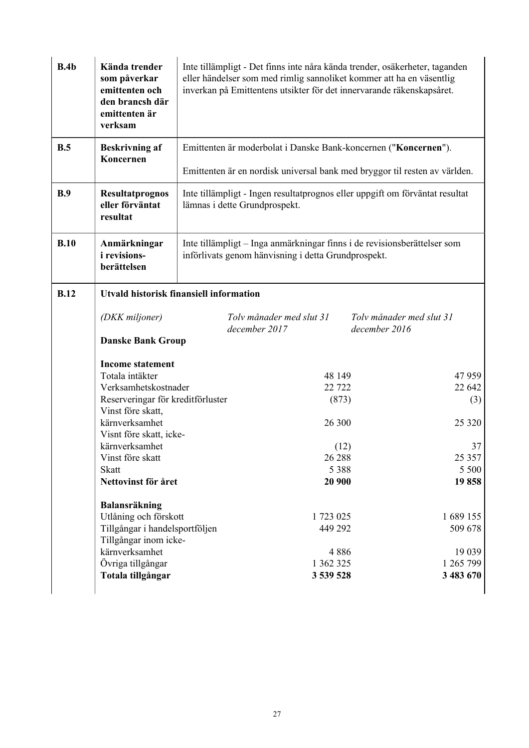| B.4b        | Kända trender<br>som påverkar<br>emittenten och<br>den brancsh där<br>emittenten är<br>verksam                                                                | Inte tillämpligt - Det finns inte nåra kända trender, osäkerheter, taganden<br>eller händelser som med rimlig sannoliket kommer att ha en väsentlig<br>inverkan på Emittentens utsikter för det innervarande räkenskapsåret. |                                                                                                                                 |                                           |                                                         |
|-------------|---------------------------------------------------------------------------------------------------------------------------------------------------------------|------------------------------------------------------------------------------------------------------------------------------------------------------------------------------------------------------------------------------|---------------------------------------------------------------------------------------------------------------------------------|-------------------------------------------|---------------------------------------------------------|
| B.5         | <b>Beskrivning af</b>                                                                                                                                         |                                                                                                                                                                                                                              | Emittenten är moderbolat i Danske Bank-koncernen ("Koncernen").                                                                 |                                           |                                                         |
|             | Koncernen                                                                                                                                                     |                                                                                                                                                                                                                              | Emittenten är en nordisk universal bank med bryggor til resten av världen.                                                      |                                           |                                                         |
| B.9         | <b>Resultatprognos</b><br>eller förväntat<br>resultat                                                                                                         | Inte tillämpligt - Ingen resultatprognos eller uppgift om förväntat resultat<br>lämnas i dette Grundprospekt.                                                                                                                |                                                                                                                                 |                                           |                                                         |
| B.10        | Anmärkningar<br><i>i</i> revisions-<br>berättelsen                                                                                                            |                                                                                                                                                                                                                              | Inte tillämpligt – Inga anmärkningar finns i de revisionsberättelser som<br>införlivats genom hänvisning i detta Grundprospekt. |                                           |                                                         |
| <b>B.12</b> |                                                                                                                                                               | <b>Utvald historisk finansiell information</b>                                                                                                                                                                               |                                                                                                                                 |                                           |                                                         |
|             | (DKK miljoner)                                                                                                                                                |                                                                                                                                                                                                                              | Tolv månader med slut 31<br>december 2017                                                                                       | Toly månader med slut 31<br>december 2016 |                                                         |
|             | <b>Danske Bank Group</b>                                                                                                                                      |                                                                                                                                                                                                                              |                                                                                                                                 |                                           |                                                         |
|             | <b>Income statement</b><br>Totala intäkter<br>Verksamhetskostnader<br>Reserveringar för kreditförluster                                                       |                                                                                                                                                                                                                              | 48 149<br>22 7 22<br>(873)                                                                                                      |                                           | 47959<br>22 642<br>(3)                                  |
|             | Vinst före skatt,<br>kärnverksamhet                                                                                                                           |                                                                                                                                                                                                                              | 26 300                                                                                                                          |                                           | 25 3 20                                                 |
|             | Visnt före skatt, icke-<br>kärnverksamhet                                                                                                                     |                                                                                                                                                                                                                              | (12)                                                                                                                            |                                           | 37                                                      |
|             | Vinst före skatt                                                                                                                                              |                                                                                                                                                                                                                              | 26 288                                                                                                                          |                                           | 25 357                                                  |
|             | <b>Skatt</b><br>Nettovinst för året                                                                                                                           |                                                                                                                                                                                                                              | 5 3 8 8<br>20 900                                                                                                               |                                           | 5 5 0 0<br>19858                                        |
|             | Balansräkning<br>Utlåning och förskott<br>Tillgångar i handelsportföljen<br>Tillgångar inom icke-<br>kärnverksamhet<br>Övriga tillgångar<br>Totala tillgångar |                                                                                                                                                                                                                              | 1 723 025<br>449 292<br>4886<br>1 362 325<br>3 539 528                                                                          |                                           | 1689 155<br>509 678<br>19 039<br>1 265 799<br>3 483 670 |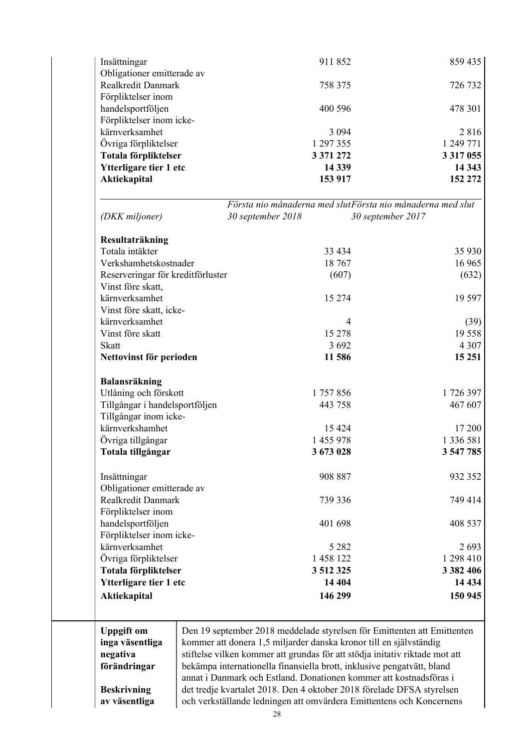| Insättningar                                     |                   | 911852                                                                      | 859 435       |
|--------------------------------------------------|-------------------|-----------------------------------------------------------------------------|---------------|
| Obligationer emitterade av<br>Realkredit Danmark |                   |                                                                             |               |
|                                                  |                   | 758 375                                                                     | 726 732       |
| Förpliktelser inom                               |                   |                                                                             |               |
| handelsportföljen                                |                   | 400 596                                                                     | 478 301       |
| Förpliktelser inom icke-<br>kärnverksamhet       |                   |                                                                             |               |
|                                                  |                   | 3 0 9 4                                                                     | 2816          |
| Övriga förpliktelser                             |                   | 1 297 355                                                                   | 1 249 771     |
| Totala förpliktelser                             |                   | 3 371 272                                                                   | 3 3 1 7 0 5 5 |
| Ytterligare tier 1 etc                           |                   | 14 3 39                                                                     | 14 3 43       |
| <b>Aktiekapital</b>                              |                   | 153 917                                                                     | 152 272       |
|                                                  |                   | Första nio månaderna med slutFörsta nio månaderna med slut                  |               |
| (DKK miljoner)                                   | 30 september 2018 | 30 september 2017                                                           |               |
| Resultaträkning                                  |                   |                                                                             |               |
| Totala intäkter                                  |                   | 33 4 34                                                                     | 35 930        |
| Verkshamhetskostnader                            |                   | 18767                                                                       | 16 965        |
| Reserveringar för kreditförluster                |                   | (607)                                                                       | (632)         |
| Vinst före skatt,                                |                   |                                                                             |               |
| kärnverksamhet                                   |                   | 15 274                                                                      | 19 5 97       |
| Vinst före skatt, icke-                          |                   |                                                                             |               |
| kärnverksamhet                                   |                   | $\overline{4}$                                                              | (39)          |
| Vinst före skatt                                 |                   | 15 278                                                                      | 19 5 5 8      |
| <b>Skatt</b>                                     |                   | 3 6 9 2                                                                     | 4 3 0 7       |
| Nettovinst för perioden                          |                   | 11 586                                                                      | 15 25 1       |
| Balansräkning                                    |                   |                                                                             |               |
| Utlåning och förskott                            |                   | 1757856                                                                     | 1726397       |
| Tillgångar i handelsportföljen                   |                   | 443 758                                                                     | 467 607       |
| Tillgångar inom icke-                            |                   |                                                                             |               |
| kärnverkshamhet                                  |                   | 15 4 24                                                                     | 17 200        |
| Övriga tillgångar                                |                   | 1 455 978                                                                   | 1 336 581     |
| Totala tillgångar                                |                   | 3 673 028                                                                   | 3 547 785     |
| Insättningar                                     |                   | 908 887                                                                     | 932 352       |
| Obligationer emitterade av                       |                   |                                                                             |               |
| Realkredit Danmark                               |                   | 739 336                                                                     | 749 414       |
| Förpliktelser inom                               |                   |                                                                             |               |
|                                                  |                   |                                                                             |               |
| handelsportföljen                                |                   | 401 698                                                                     | 408 537       |
| Förpliktelser inom icke-                         |                   |                                                                             |               |
| kärnverksamhet                                   |                   | 5 2 8 2                                                                     | 2693          |
| Övriga förpliktelser                             |                   | 1 458 122                                                                   | 1 298 410     |
| Totala förpliktelser                             |                   | 3 512 325                                                                   | 3 3 8 2 4 0 6 |
| Ytterligare tier 1 etc                           |                   | 14 404                                                                      | 14 4 34       |
| Aktiekapital                                     |                   | 146 299                                                                     | 150 945       |
|                                                  |                   |                                                                             |               |
| <b>Uppgift</b> om                                |                   | Den 19 september 2018 meddelade styrelsen för Emittenten att Emittenten     |               |
| inga väsentliga                                  |                   | kommer att donera 1,5 miljarder danska kronor till en självständig          |               |
| negativa                                         |                   | stiftelse vilken kommer att grundas för att stödja initativ riktade mot att |               |
| förändringar                                     |                   | bekämpa internationella finansiella brott, inklusive pengatvätt, bland      |               |
|                                                  |                   | annat i Danmark och Estland. Donationen kommer att kostnadsföras i          |               |
| <b>Beskrivning</b>                               |                   | det tredje kvartalet 2018. Den 4 oktober 2018 förelade DFSA styrelsen       |               |
| av väsentliga                                    |                   | och verkställande ledningen att omvärdera Emittentens och Koncernens        |               |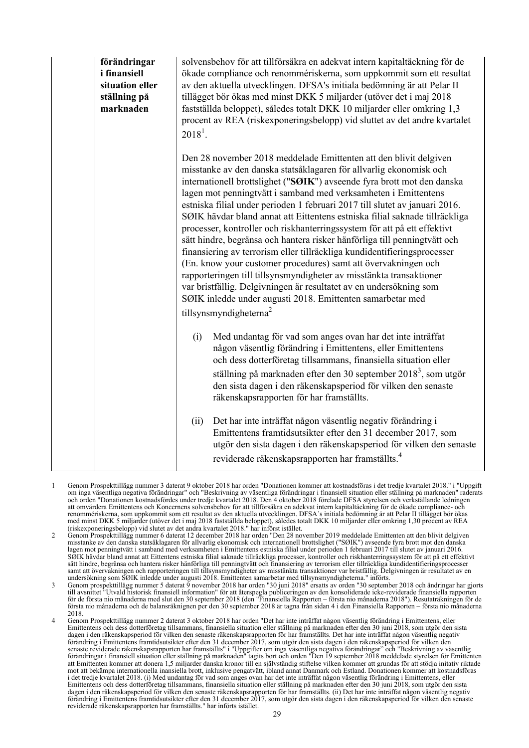| förändringar<br><i>i</i> finansiell<br>situation eller<br>ställning på<br>marknaden | solvensbehov för att tillförsäkra en adekvat intern kapitaltäckning för de<br>ökade compliance och renommériskerna, som uppkommit som ett resultat<br>av den aktuella utvecklingen. DFSA's initiala bedömning är att Pelar II<br>tillägget bör ökas med minst DKK 5 miljarder (utöver det i maj 2018<br>fastställda beloppet), således totalt DKK 10 miljarder eller omkring 1,3<br>procent av REA (riskexponeringsbelopp) vid sluttet av det andre kvartalet<br>$2018^1$ .                                                                                                                                                                                                                                                                                                                                                                                                                                                                                                                                 |
|-------------------------------------------------------------------------------------|-------------------------------------------------------------------------------------------------------------------------------------------------------------------------------------------------------------------------------------------------------------------------------------------------------------------------------------------------------------------------------------------------------------------------------------------------------------------------------------------------------------------------------------------------------------------------------------------------------------------------------------------------------------------------------------------------------------------------------------------------------------------------------------------------------------------------------------------------------------------------------------------------------------------------------------------------------------------------------------------------------------|
|                                                                                     | Den 28 november 2018 meddelade Emittenten att den blivit delgiven<br>misstanke av den danska statsåklagaren för allvarlig ekonomisk och<br>internationell brottslighet ("SØIK") avseende fyra brott mot den danska<br>lagen mot penningtvätt i samband med verksamheten i Emittentens<br>estniska filial under perioden 1 februari 2017 till slutet av januari 2016.<br>SØIK hävdar bland annat att Eittentens estniska filial saknade tillräckliga<br>processer, kontroller och riskhanterringssystem för att på ett effektivt<br>sätt hindre, begränsa och hantera risker hänförliga till penningtvätt och<br>finansiering av terrorism eller tillräckliga kundidentifieringsprocesser<br>(En. know your customer procedures) samt att övervakningen och<br>rapporteringen till tillsynsmyndigheter av misstänkta transaktioner<br>var bristfällig. Delgivningen är resultatet av en undersökning som<br>SØIK inledde under augusti 2018. Emittenten samarbetar med<br>tillsynsmyndigheterna <sup>2</sup> |
|                                                                                     | Med undantag för vad som anges ovan har det inte inträffat<br>(i)<br>någon väsentlig förändring i Emittentens, eller Emittentens<br>och dess dotterföretag tillsammans, finansiella situation eller<br>ställning på marknaden efter den 30 september 2018 <sup>3</sup> , som utgör<br>den sista dagen i den räkenskapsperiod för vilken den senaste<br>räkenskapsrapporten för har framställts.                                                                                                                                                                                                                                                                                                                                                                                                                                                                                                                                                                                                             |
|                                                                                     | Det har inte inträffat någon väsentlig negativ förändring i<br>(ii)<br>Emittentens framtidsutsikter efter den 31 december 2017, som<br>utgör den sista dagen i den räkenskapsperiod för vilken den senaste<br>reviderade räkenskapsrapporten har framställts. <sup>4</sup>                                                                                                                                                                                                                                                                                                                                                                                                                                                                                                                                                                                                                                                                                                                                  |

- 1 Genom Prospekttillägg nummer 3 daterat 9 oktober 2018 har orden "Donationen kommer att kostnadsföras i det tredje kvartalet 2018." i "Uppgift om inga väsentliga negativa förändringar" och "Beskrivning av väsentliga förändringar i finansiell situation eller ställning på marknaden" raderats och orden "Donationen kostnadsfördes under tredje kvartalet 2018. Den 4 oktober 2018 förelade DFSA styrelsen och verkställande ledningen att omvärdera Emittentens och Koncernens solvensbehov för att tillförsäkra en adekvat intern kapitaltäckning för de ökade compliance- och renommériskerna, som uppkommit som ett resultat av den aktuella utvecklingen. DFSA´s initiala bedömning är att Pelar II tillägget bör ökas med minst DKK 5 miljarder (utöver det i maj 2018 fastställda beloppet), således totalt DKK 10 miljarder eller omkring 1,30 procent av REA (riskexponeringsbelopp) vid slutet av det andra kvartalet 2018." har införst istället.
- 2 Genom Prospekttillägg nummer 6 daterat 12 december 2018 har orden "Den 28 november 2019 meddelade Emittenten att den blivit delgiven misstanke av den danska statsåklagaren för allvarlig ekonomisk och internationell brottslighet ("SØIK") avseende fyra brott mot den danska lagen mot penningtvätt i samband med verksamheten i Emittentens estniska filial under perioden 1 februari 2017 till slutet av januari 2016. SØIK hävdar bland annat att Eittentens estniska filial saknade tillräckliga processer, kontroller och riskhanterringssystem för att på ett effektivt sätt hindre, begränsa och hantera risker hänförliga till penningtvätt och finansiering av terrorism eller tillräckliga kundidentifieringsprocesser samt att övervakningen och rapporteringen till tillsynsmyndigheter av misstänkta transaktioner var bristfällig. Delgivningen är resultatet av en undersökning som SØIK inledde under augusti 2018. Emittenten samarbetar med tillsynsmyndigheterna." införts.
- 3 Genom prospekttillägg nummer 5 daterat 9 november 2018 har orden "30 juni 2018" ersatts av orden "30 september 2018 och ändringar har gjorts till avsnittet "Utvald historisk finansiell information" för att återspegla publiceringen av den konsoliderade icke-reviderade finansiella rapporten för de första nio månaderna med slut den 30 september 2018 (den "Finansiella Rapporten – första nio månaderna 2018"). Resutaträkningen för de första nio månaderna och de balansräknignen per den 30 september 2018 är tagna från sidan 4 i den Finansiella Rapporten – första nio månaderna 2018.
- 4 Genom Prospekttillägg nummer 2 daterat 3 oktober 2018 har orden "Det har inte inträffat någon väsentlig förändring i Emittentens, eller Emittentens och dess dotterföretag tillsammans, finansiella situation eller ställning på marknaden efter den 30 juni 2018, som utgör den sista dagen i den räkenskapsperiod för vilken den senaste räkenskapsrapporten för har framställts. Det har inte inträffat någon väsentlig negativ<br>förändring i Emittentens framtidsutsikter efter den 31 december 2017, som utgör de senaste reviderade räkenskapsrapporten har framställts" i "Uppgifter om inga väsentliga negativa förändringar" och "Beskrivning av väsentlig förändringar i finansiell situation eller ställning på marknaden" tagits bort och orden "Den 19 september 2018 meddelade styrelsen för Emittenten att Emittenten kommer att donera 1,5 miljarder danska kronor till en självständig stiftelse vilken kommer att grundas för att stödja initativ riktade mot att bekämpa internationella inansiella brott, inklusive pengatvätt, ibland annat Danmark och Estland. Donationen kommer att kostnadsföras i det tredje kvartalet 2018. (i) Med undantag för vad som anges ovan har det inte inträffat någon väsentlig förändring i Emittentens, eller Emittentens och dess dotterföretag tillsammans, finansiella situation eller ställning på marknaden efter den 30 juni 2018, som utgör den sista dagen i den räkenskapsperiod för vilken den senaste räkenskapsrapporten för har framställts. (ii) Det har inte inträffat någon väsentlig negativ förändring i Emittentens framtidsutsikter efter den 31 december 2017, som utgör den sista dagen i den räkenskapsperiod för vilken den senaste reviderade räkenskapsrapporten har framställts." har införts istället.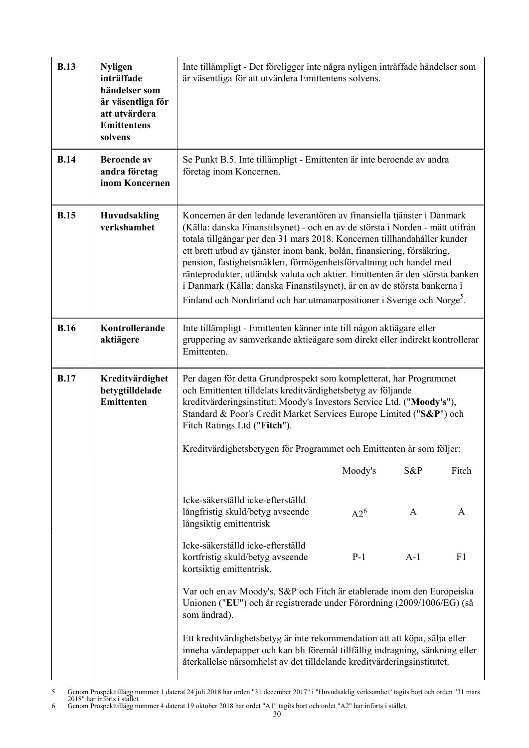| <b>B.13</b> | <b>Nyligen</b><br>inträffade<br>händelser som<br>är väsentliga för<br>att utvärdera<br><b>Emittentens</b><br>solvens | Inte tillämpligt - Det föreligger inte några nyligen inträffade händelser som<br>är väsentliga för att utvärdera Emittentens solvens.                                                                                                                                                                                                                                                                                                                                                                                                                                                                                                    |         |       |                |
|-------------|----------------------------------------------------------------------------------------------------------------------|------------------------------------------------------------------------------------------------------------------------------------------------------------------------------------------------------------------------------------------------------------------------------------------------------------------------------------------------------------------------------------------------------------------------------------------------------------------------------------------------------------------------------------------------------------------------------------------------------------------------------------------|---------|-------|----------------|
| <b>B.14</b> | <b>Beroende</b> av<br>andra företag<br>inom Koncernen                                                                | Se Punkt B.5. Inte tillämpligt - Emittenten är inte beroende av andra<br>företag inom Koncernen.                                                                                                                                                                                                                                                                                                                                                                                                                                                                                                                                         |         |       |                |
| <b>B.15</b> | <b>Huvudsakling</b><br>verkshamhet                                                                                   | Koncernen är den ledande leverantören av finansiella tjänster i Danmark<br>(Källa: danska Finanstilsynet) - och en av de största i Norden - mätt utifrån<br>totala tillgångar per den 31 mars 2018. Koncernen tillhandahåller kunder<br>ett brett utbud av tjänster inom bank, bolån, finansiering, försäkring,<br>pension, fastighetsmäkleri, förmögenhetsförvaltning och handel med<br>ränteprodukter, utländsk valuta och aktier. Emittenten är den största banken<br>i Danmark (Källa: danska Finanstilsynet), är en av de största bankerna i<br>Finland och Nordirland och har utmanarpositioner i Sverige och Norge <sup>5</sup> . |         |       |                |
| <b>B.16</b> | Kontrollerande<br>aktiägere                                                                                          | Inte tillämpligt - Emittenten känner inte till någon aktiägare eller<br>gruppering av samverkande aktieägare som direkt eller indirekt kontrollerar<br>Emittenten.                                                                                                                                                                                                                                                                                                                                                                                                                                                                       |         |       |                |
| <b>B.17</b> | Kreditvärdighet<br>betygtilldelade<br>Emittenten                                                                     | Per dagen för detta Grundprospekt som kompletterat, har Programmet<br>och Emittenten tilldelats kreditvärdighetsbetyg av följande<br>kreditvärderingsinstitut: Moody's Investors Service Ltd. ("Moody's"),<br>Standard & Poor's Credit Market Services Europe Limited ("S&P") och<br>Fitch Ratings Ltd ("Fitch").                                                                                                                                                                                                                                                                                                                        |         |       |                |
|             |                                                                                                                      | Kreditvärdighetsbetygen för Programmet och Emittenten är som följer:                                                                                                                                                                                                                                                                                                                                                                                                                                                                                                                                                                     |         |       |                |
|             |                                                                                                                      |                                                                                                                                                                                                                                                                                                                                                                                                                                                                                                                                                                                                                                          | Moody's | S&P   | Fitch          |
|             |                                                                                                                      | Icke-säkerställd icke-efterställd<br>långfristig skuld/betyg avseende<br>långsiktig emittentrisk                                                                                                                                                                                                                                                                                                                                                                                                                                                                                                                                         | $A2^6$  | A     | A              |
|             |                                                                                                                      | Icke-säkerställd icke-efterställd<br>kortfristig skuld/betyg avseende<br>kortsiktig emittentrisk.                                                                                                                                                                                                                                                                                                                                                                                                                                                                                                                                        | $P-1$   | $A-1$ | F <sub>1</sub> |
|             |                                                                                                                      | Var och en av Moody's, S&P och Fitch är etablerade inom den Europeiska<br>Unionen ("EU") och är registrerade under Förordning (2009/1006/EG) (så<br>som ändrad).                                                                                                                                                                                                                                                                                                                                                                                                                                                                         |         |       |                |
|             |                                                                                                                      | Ett kreditvärdighetsbetyg är inte rekommendation att att köpa, sälja eller<br>inneha värdepapper och kan bli föremål tillfällig indragning, sänkning eller<br>återkallelse närsomhelst av det tilldelande kreditvärderingsinstitutet.                                                                                                                                                                                                                                                                                                                                                                                                    |         |       |                |

<sup>6</sup> Genom Prospekttillägg nummer 4 daterat 19 oktober 2018 har ordet "A1" tagits bort och ordet "A2" har införts i stället.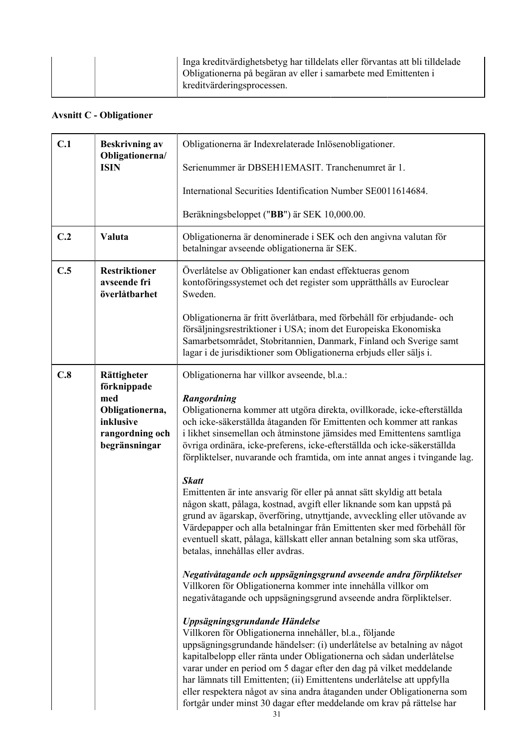| Inga kreditvärdighetsbetyg har tilldelats eller förvantas att bli tilldelade<br>Obligationerna på begäran av eller i samarbete med Emittenten i<br>kreditvärderingsprocessen. |
|-------------------------------------------------------------------------------------------------------------------------------------------------------------------------------|
|                                                                                                                                                                               |

# **Avsnitt C - Obligationer**

| C.1 | <b>Beskrivning av</b><br>Obligationerna/                                               | Obligationerna är Indexrelaterade Inlösenobligationer.                                                                                                                                                                                                                                                                                                                                                                                                                                                                                                   |
|-----|----------------------------------------------------------------------------------------|----------------------------------------------------------------------------------------------------------------------------------------------------------------------------------------------------------------------------------------------------------------------------------------------------------------------------------------------------------------------------------------------------------------------------------------------------------------------------------------------------------------------------------------------------------|
|     | <b>ISIN</b>                                                                            | Serienummer är DBSEH1EMASIT. Tranchenumret är 1.                                                                                                                                                                                                                                                                                                                                                                                                                                                                                                         |
|     |                                                                                        | International Securities Identification Number SE0011614684.                                                                                                                                                                                                                                                                                                                                                                                                                                                                                             |
|     |                                                                                        | Beräkningsbeloppet ("BB") är SEK 10,000.00.                                                                                                                                                                                                                                                                                                                                                                                                                                                                                                              |
| C.2 | Valuta                                                                                 | Obligationerna är denominerade i SEK och den angivna valutan för<br>betalningar avseende obligationerna är SEK.                                                                                                                                                                                                                                                                                                                                                                                                                                          |
| C.5 | <b>Restriktioner</b><br>avseende fri<br>överlåtbarhet                                  | Överlåtelse av Obligationer kan endast effektueras genom<br>kontoföringssystemet och det register som upprätthålls av Euroclear<br>Sweden.                                                                                                                                                                                                                                                                                                                                                                                                               |
|     |                                                                                        | Obligationerna är fritt överlåtbara, med förbehåll för erbjudande- och<br>försäljningsrestriktioner i USA; inom det Europeiska Ekonomiska<br>Samarbetsområdet, Stobritannien, Danmark, Finland och Sverige samt<br>lagar i de jurisdiktioner som Obligationerna erbjuds eller säljs i.                                                                                                                                                                                                                                                                   |
| C.8 | Rättigheter                                                                            | Obligationerna har villkor avseende, bl.a.:                                                                                                                                                                                                                                                                                                                                                                                                                                                                                                              |
|     | förknippade<br>med<br>Obligationerna,<br>inklusive<br>rangordning och<br>begränsningar | Rangordning<br>Obligationerna kommer att utgöra direkta, ovillkorade, icke-efterställda<br>och icke-säkerställda åtaganden för Emittenten och kommer att rankas<br>i likhet sinsemellan och åtminstone jämsides med Emittentens samtliga<br>övriga ordinära, icke-preferens, icke-efterställda och icke-säkerställda<br>förpliktelser, nuvarande och framtida, om inte annat anges i tvingande lag.                                                                                                                                                      |
|     |                                                                                        | <b>Skatt</b><br>Emittenten är inte ansvarig för eller på annat sätt skyldig att betala<br>någon skatt, pålaga, kostnad, avgift eller liknande som kan uppstå på<br>grund av ägarskap, överföring, utnyttjande, avveckling eller utövande av<br>Värdepapper och alla betalningar från Emittenten sker med förbehåll för<br>eventuell skatt, pålaga, källskatt eller annan betalning som ska utföras,<br>betalas, innehållas eller avdras.                                                                                                                 |
|     |                                                                                        | Negativåtagande och uppsägningsgrund avseende andra förpliktelser<br>Villkoren för Obligationerna kommer inte innehålla villkor om<br>negativåtagande och uppsägningsgrund avseende andra förpliktelser.                                                                                                                                                                                                                                                                                                                                                 |
|     |                                                                                        | Uppsägningsgrundande Händelse<br>Villkoren för Obligationerna innehåller, bl.a., följande<br>uppsägningsgrundande händelser: (i) underlåtelse av betalning av något<br>kapitalbelopp eller ränta under Obligationerna och sådan underlåtelse<br>varar under en period om 5 dagar efter den dag på vilket meddelande<br>har lämnats till Emittenten; (ii) Emittentens underlåtelse att uppfylla<br>eller respektera något av sina andra åtaganden under Obligationerna som<br>fortgår under minst 30 dagar efter meddelande om krav på rättelse har<br>31 |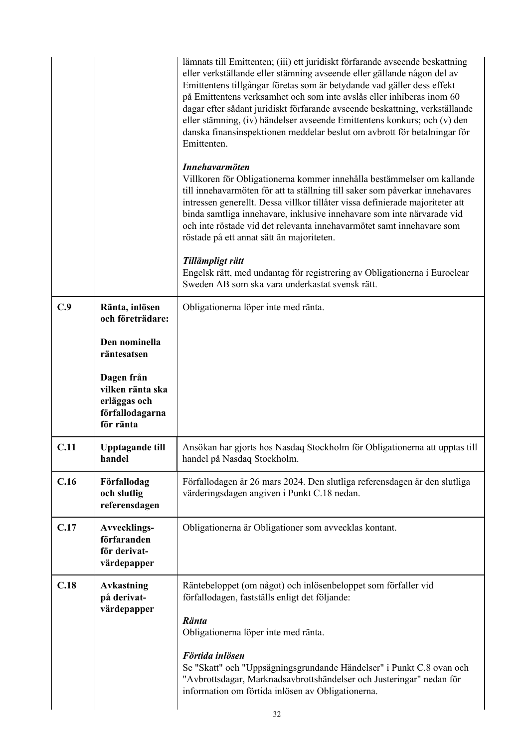|                                                                                | lämnats till Emittenten; (iii) ett juridiskt förfarande avseende beskattning<br>eller verkställande eller stämning avseende eller gällande någon del av<br>Emittentens tillgångar företas som är betydande vad gäller dess effekt<br>på Emittentens verksamhet och som inte avslås eller inhiberas inom 60<br>dagar efter sådant juridiskt förfarande avseende beskattning, verkställande<br>eller stämning, (iv) händelser avseende Emittentens konkurs; och (v) den<br>danska finansinspektionen meddelar beslut om avbrott för betalningar för<br>Emittenten. |
|--------------------------------------------------------------------------------|------------------------------------------------------------------------------------------------------------------------------------------------------------------------------------------------------------------------------------------------------------------------------------------------------------------------------------------------------------------------------------------------------------------------------------------------------------------------------------------------------------------------------------------------------------------|
|                                                                                | <b>Innehavarmöten</b><br>Villkoren för Obligationerna kommer innehålla bestämmelser om kallande<br>till innehavarmöten för att ta ställning till saker som påverkar innehavares<br>intressen generellt. Dessa villkor tillåter vissa definierade majoriteter att<br>binda samtliga innehavare, inklusive innehavare som inte närvarade vid<br>och inte röstade vid det relevanta innehavarmötet samt innehavare som<br>röstade på ett annat sätt än majoriteten.                                                                                                 |
|                                                                                | Tillämpligt rätt<br>Engelsk rätt, med undantag för registrering av Obligationerna i Euroclear<br>Sweden AB som ska vara underkastat svensk rätt.                                                                                                                                                                                                                                                                                                                                                                                                                 |
| C.9<br>Ränta, inlösen<br>och företrädare:                                      | Obligationerna löper inte med ränta.                                                                                                                                                                                                                                                                                                                                                                                                                                                                                                                             |
| Den nominella<br>räntesatsen                                                   |                                                                                                                                                                                                                                                                                                                                                                                                                                                                                                                                                                  |
| Dagen från<br>vilken ränta ska<br>erläggas och<br>förfallodagarna<br>för ränta |                                                                                                                                                                                                                                                                                                                                                                                                                                                                                                                                                                  |
| C.11<br><b>Upptagande till</b><br>handel                                       | Ansökan har gjorts hos Nasdaq Stockholm för Obligationerna att upptas till<br>handel på Nasdaq Stockholm.                                                                                                                                                                                                                                                                                                                                                                                                                                                        |
| C.16<br>Förfallodag<br>och slutlig<br>referensdagen                            | Förfallodagen är 26 mars 2024. Den slutliga referensdagen är den slutliga<br>värderingsdagen angiven i Punkt C.18 nedan.                                                                                                                                                                                                                                                                                                                                                                                                                                         |
| C.17<br>Avvecklings-<br>förfaranden<br>för derivat-<br>värdepapper             | Obligationerna är Obligationer som avvecklas kontant.                                                                                                                                                                                                                                                                                                                                                                                                                                                                                                            |
| C.18<br><b>Avkastning</b><br>på derivat-<br>värdepapper                        | Räntebeloppet (om något) och inlösenbeloppet som förfaller vid<br>förfallodagen, fastställs enligt det följande:<br><b>Ränta</b><br>Obligationerna löper inte med ränta.<br>Förtida inlösen<br>Se "Skatt" och "Uppsägningsgrundande Händelser" i Punkt C.8 ovan och                                                                                                                                                                                                                                                                                              |
|                                                                                | "Avbrottsdagar, Marknadsavbrottshändelser och Justeringar" nedan för<br>information om förtida inlösen av Obligationerna.<br>າາ                                                                                                                                                                                                                                                                                                                                                                                                                                  |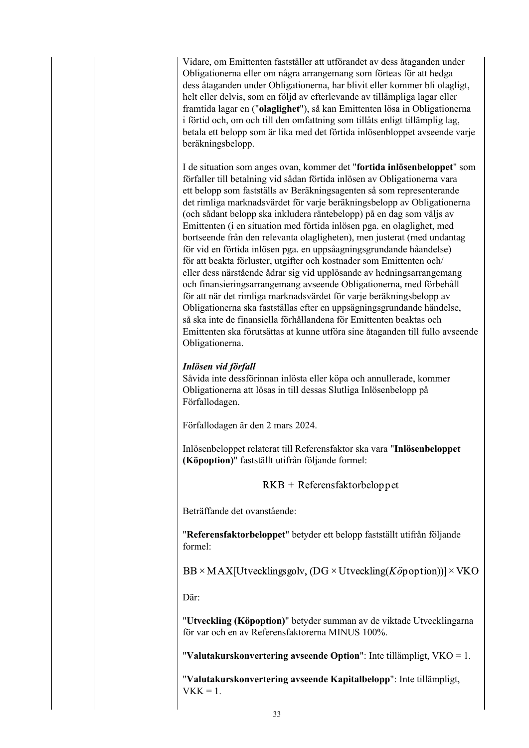Vidare, om Emittenten fastställer att utförandet av dess åtaganden under Obligationerna eller om några arrangemang som förteas för att hedga dess åtaganden under Obligationerna, har blivit eller kommer bli olagligt, helt eller delvis, som en följd av efterlevande av tillämpliga lagar eller framtida lagar en ("**olaglighet**"), så kan Emittenten lösa in Obligationerna i förtid och, om och till den omfattning som tillåts enligt tillämplig lag, betala ett belopp som är lika med det förtida inlösenbloppet avseende varje beräkningsbelopp.

I de situation som anges ovan, kommer det "**fortida inlösenbeloppet**" som förfaller till betalning vid sådan förtida inlösen av Obligationerna vara ett belopp som fastställs av Beräkningsagenten så som representerande det rimliga marknadsvärdet för varje beräkningsbelopp av Obligationerna (och sådant belopp ska inkludera räntebelopp) på en dag som väljs av Emittenten (i en situation med förtida inlösen pga. en olaglighet, med bortseende från den relevanta olagligheten), men justerat (med undantag för vid en förtida inlösen pga. en uppsåagningsgrundande håandelse) för att beakta förluster, utgifter och kostnader som Emittenten och/ eller dess närstående ådrar sig vid upplösande av hedningsarrangemang och finansieringsarrangemang avseende Obligationerna, med förbehåll för att när det rimliga marknadsvärdet för varje beräkningsbelopp av Obligationerna ska fastställas efter en uppsägningsgrundande händelse, så ska inte de finansiella förhållandena för Emittenten beaktas och Emittenten ska förutsättas at kunne utföra sine åtaganden till fullo avseende Obligationerna.

## *Inlösen vid förfall*

Såvida inte dessförinnan inlösta eller köpa och annullerade, kommer Obligationerna att lösas in till dessas Slutliga Inlösenbelopp på Förfallodagen.

Förfallodagen är den 2 mars 2024.

Inlösenbeloppet relaterat till Referensfaktor ska vara "**Inlösenbeloppet (Köpoption)**" fastställt utifrån följande formel:

 $RKB + Refers faktorbeloppet$ 

Beträffande det ovanstående:

"**Referensfaktorbeloppet**" betyder ett belopp fastställt utifrån följande formel:

 $BB \times MAX[U$ tvecklingsgolv, (DG × Utveckling(Köpoption))] × VKO

Där:

"**Utveckling (Köpoption)**" betyder summan av de viktade Utvecklingarna för var och en av Referensfaktorerna MINUS 100%.

"**Valutakurskonvertering avseende Option**": Inte tillämpligt, VKO = 1.

"**Valutakurskonvertering avseende Kapitalbelopp**": Inte tillämpligt,  $VKK = 1$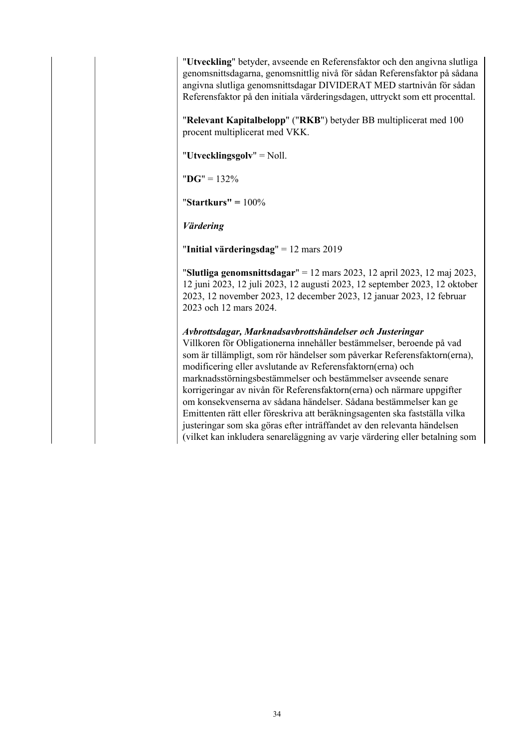"**Utveckling**" betyder, avseende en Referensfaktor och den angivna slutliga genomsnittsdagarna, genomsnittlig nivå för sådan Referensfaktor på sådana angivna slutliga genomsnittsdagar DIVIDERAT MED startnivån för sådan Referensfaktor på den initiala värderingsdagen, uttryckt som ett procenttal.

"**Relevant Kapitalbelopp**" ("**RKB**") betyder BB multiplicerat med 100 procent multiplicerat med VKK.

"**Utvecklingsgolv**" = Noll.

"**DG**" = 132%

"**Startkurs" =** 100%

*Värdering*

"**Initial värderingsdag**" = 12 mars 2019

"**Slutliga genomsnittsdagar**" = 12 mars 2023, 12 april 2023, 12 maj 2023, 12 juni 2023, 12 juli 2023, 12 augusti 2023, 12 september 2023, 12 oktober 2023, 12 november 2023, 12 december 2023, 12 januar 2023, 12 februar 2023 och 12 mars 2024.

*Avbrottsdagar, Marknadsavbrottshändelser och Justeringar* Villkoren för Obligationerna innehåller bestämmelser, beroende på vad som är tillämpligt, som rör händelser som påverkar Referensfaktorn(erna), modificering eller avslutande av Referensfaktorn(erna) och marknadsstörningsbestämmelser och bestämmelser avseende senare korrigeringar av nivån för Referensfaktorn(erna) och närmare uppgifter om konsekvenserna av sådana händelser. Sådana bestämmelser kan ge Emittenten rätt eller föreskriva att beräkningsagenten ska fastställa vilka justeringar som ska göras efter inträffandet av den relevanta händelsen (vilket kan inkludera senareläggning av varje värdering eller betalning som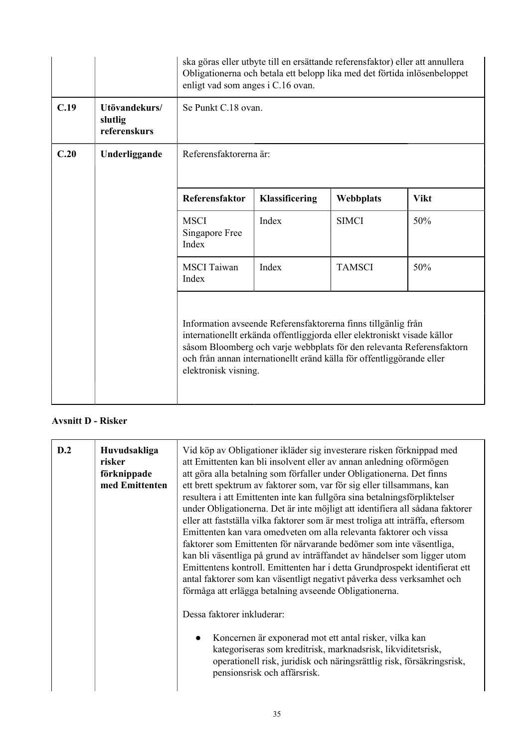|      |                                          | enligt vad som anges i C.16 ovan.                                                                                                                                                                                                                                                                                   | ska göras eller utbyte till en ersättande referensfaktor) eller att annullera<br>Obligationerna och betala ett belopp lika med det förtida inlösenbeloppet |               |             |
|------|------------------------------------------|---------------------------------------------------------------------------------------------------------------------------------------------------------------------------------------------------------------------------------------------------------------------------------------------------------------------|------------------------------------------------------------------------------------------------------------------------------------------------------------|---------------|-------------|
| C.19 | Utövandekurs/<br>slutlig<br>referenskurs | Se Punkt C.18 ovan.                                                                                                                                                                                                                                                                                                 |                                                                                                                                                            |               |             |
| C.20 | Underliggande                            | Referensfaktorerna är:                                                                                                                                                                                                                                                                                              |                                                                                                                                                            |               |             |
|      |                                          | Referensfaktor                                                                                                                                                                                                                                                                                                      | Klassificering                                                                                                                                             | Webbplats     | <b>Vikt</b> |
|      |                                          | <b>MSCI</b><br>Singapore Free<br>Index                                                                                                                                                                                                                                                                              | Index                                                                                                                                                      | <b>SIMCI</b>  | 50%         |
|      |                                          | <b>MSCI</b> Taiwan<br>Index                                                                                                                                                                                                                                                                                         | Index                                                                                                                                                      | <b>TAMSCI</b> | 50%         |
|      |                                          | Information avseende Referensfaktorerna finns tillgänlig från<br>internationellt erkända offentliggjorda eller elektroniskt visade källor<br>såsom Bloomberg och varje webbplats för den relevanta Referensfaktorn<br>och från annan internationellt eränd källa för offentliggörande eller<br>elektronisk visning. |                                                                                                                                                            |               |             |

## **Avsnitt D - Risker**

| D.2<br>Huvudsakliga<br>risker<br>förknippade<br>med Emittenten | Vid köp av Obligationer ikläder sig investerare risken förknippad med<br>att Emittenten kan bli insolvent eller av annan anledning oförmögen<br>att göra alla betalning som förfaller under Obligationerna. Det finns<br>ett brett spektrum av faktorer som, var för sig eller tillsammans, kan<br>resultera i att Emittenten inte kan fullgöra sina betalningsförpliktelser<br>under Obligationerna. Det är inte möjligt att identifiera all sådana faktorer<br>eller att fastställa vilka faktorer som är mest troliga att inträffa, eftersom<br>Emittenten kan vara omedveten om alla relevanta faktorer och vissa<br>faktorer som Emittenten för närvarande bedömer som inte väsentliga,<br>kan bli väsentliga på grund av inträffandet av händelser som ligger utom<br>Emittentens kontroll. Emittenten har i detta Grundprospekt identifierat ett<br>antal faktorer som kan väsentligt negativt påverka dess verksamhet och<br>förmåga att erlägga betalning avseende Obligationerna.<br>Dessa faktorer inkluderar:<br>Koncernen är exponerad mot ett antal risker, vilka kan<br>$\bullet$<br>kategoriseras som kreditrisk, marknadsrisk, likviditetsrisk,<br>operationell risk, juridisk och näringsrättlig risk, försäkringsrisk,<br>pensionsrisk och affärsrisk. |
|----------------------------------------------------------------|---------------------------------------------------------------------------------------------------------------------------------------------------------------------------------------------------------------------------------------------------------------------------------------------------------------------------------------------------------------------------------------------------------------------------------------------------------------------------------------------------------------------------------------------------------------------------------------------------------------------------------------------------------------------------------------------------------------------------------------------------------------------------------------------------------------------------------------------------------------------------------------------------------------------------------------------------------------------------------------------------------------------------------------------------------------------------------------------------------------------------------------------------------------------------------------------------------------------------------------------------------------------------|
|----------------------------------------------------------------|---------------------------------------------------------------------------------------------------------------------------------------------------------------------------------------------------------------------------------------------------------------------------------------------------------------------------------------------------------------------------------------------------------------------------------------------------------------------------------------------------------------------------------------------------------------------------------------------------------------------------------------------------------------------------------------------------------------------------------------------------------------------------------------------------------------------------------------------------------------------------------------------------------------------------------------------------------------------------------------------------------------------------------------------------------------------------------------------------------------------------------------------------------------------------------------------------------------------------------------------------------------------------|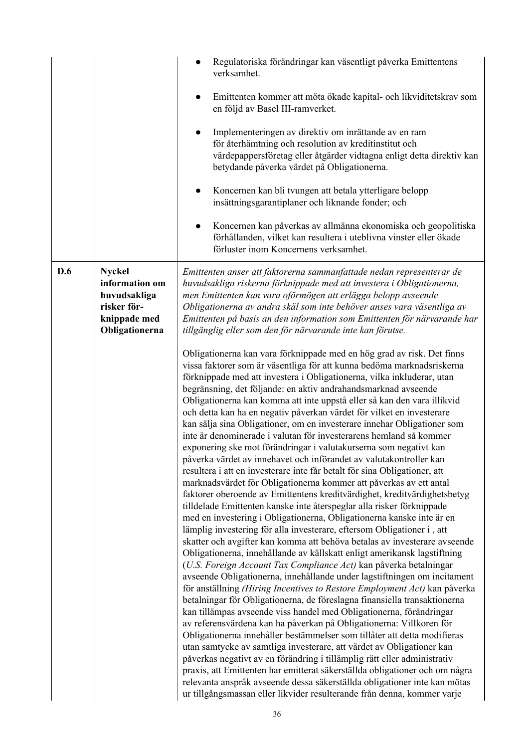|     |                                                                                                  | Regulatoriska förändringar kan väsentligt påverka Emittentens<br>verksamhet.                                                                                                                                                                                                                                                                                                                                                                                                                                                                                                                                                                                                                                                                                                                                                                                                                                                                                                                                                                                                                                                                                                                                                                                                                                                                                                                                                                                                                                                                                                                                                                                                                                                                                                                                                                                                                                                                                                                                                                                                                                                                                                                                                                                                                      |
|-----|--------------------------------------------------------------------------------------------------|---------------------------------------------------------------------------------------------------------------------------------------------------------------------------------------------------------------------------------------------------------------------------------------------------------------------------------------------------------------------------------------------------------------------------------------------------------------------------------------------------------------------------------------------------------------------------------------------------------------------------------------------------------------------------------------------------------------------------------------------------------------------------------------------------------------------------------------------------------------------------------------------------------------------------------------------------------------------------------------------------------------------------------------------------------------------------------------------------------------------------------------------------------------------------------------------------------------------------------------------------------------------------------------------------------------------------------------------------------------------------------------------------------------------------------------------------------------------------------------------------------------------------------------------------------------------------------------------------------------------------------------------------------------------------------------------------------------------------------------------------------------------------------------------------------------------------------------------------------------------------------------------------------------------------------------------------------------------------------------------------------------------------------------------------------------------------------------------------------------------------------------------------------------------------------------------------------------------------------------------------------------------------------------------------|
|     |                                                                                                  | Emittenten kommer att möta ökade kapital- och likviditetskrav som<br>en följd av Basel III-ramverket.                                                                                                                                                                                                                                                                                                                                                                                                                                                                                                                                                                                                                                                                                                                                                                                                                                                                                                                                                                                                                                                                                                                                                                                                                                                                                                                                                                                                                                                                                                                                                                                                                                                                                                                                                                                                                                                                                                                                                                                                                                                                                                                                                                                             |
|     |                                                                                                  | Implementeringen av direktiv om inrättande av en ram<br>för återhämtning och resolution av kreditinstitut och<br>värdepappersföretag eller åtgärder vidtagna enligt detta direktiv kan<br>betydande påverka värdet på Obligationerna.                                                                                                                                                                                                                                                                                                                                                                                                                                                                                                                                                                                                                                                                                                                                                                                                                                                                                                                                                                                                                                                                                                                                                                                                                                                                                                                                                                                                                                                                                                                                                                                                                                                                                                                                                                                                                                                                                                                                                                                                                                                             |
|     |                                                                                                  | Koncernen kan bli tvungen att betala ytterligare belopp<br>insättningsgarantiplaner och liknande fonder; och                                                                                                                                                                                                                                                                                                                                                                                                                                                                                                                                                                                                                                                                                                                                                                                                                                                                                                                                                                                                                                                                                                                                                                                                                                                                                                                                                                                                                                                                                                                                                                                                                                                                                                                                                                                                                                                                                                                                                                                                                                                                                                                                                                                      |
|     |                                                                                                  | Koncernen kan påverkas av allmänna ekonomiska och geopolitiska<br>$\bullet$<br>förhållanden, vilket kan resultera i uteblivna vinster eller ökade<br>förluster inom Koncernens verksamhet.                                                                                                                                                                                                                                                                                                                                                                                                                                                                                                                                                                                                                                                                                                                                                                                                                                                                                                                                                                                                                                                                                                                                                                                                                                                                                                                                                                                                                                                                                                                                                                                                                                                                                                                                                                                                                                                                                                                                                                                                                                                                                                        |
| D.6 | <b>Nyckel</b><br>information om<br>huvudsakliga<br>risker för-<br>knippade med<br>Obligationerna | Emittenten anser att faktorerna sammanfattade nedan representerar de<br>huvudsakliga riskerna förknippade med att investera i Obligationerna,<br>men Emittenten kan vara oförmögen att erlägga belopp avseende<br>Obligationerna av andra skäl som inte behöver anses vara väsentliga av<br>Emittenten på basis an den information som Emittenten för närvarande har<br>tillgänglig eller som den för närvarande inte kan förutse.                                                                                                                                                                                                                                                                                                                                                                                                                                                                                                                                                                                                                                                                                                                                                                                                                                                                                                                                                                                                                                                                                                                                                                                                                                                                                                                                                                                                                                                                                                                                                                                                                                                                                                                                                                                                                                                                |
|     |                                                                                                  | Obligationerna kan vara förknippade med en hög grad av risk. Det finns<br>vissa faktorer som är väsentliga för att kunna bedöma marknadsriskerna<br>förknippade med att investera i Obligationerna, vilka inkluderar, utan<br>begränsning, det följande: en aktiv andrahandsmarknad avseende<br>Obligationerna kan komma att inte uppstå eller så kan den vara illikvid<br>och detta kan ha en negativ påverkan värdet för vilket en investerare<br>kan sälja sina Obligationer, om en investerare innehar Obligationer som<br>inte är denominerade i valutan för investerarens hemland så kommer<br>exponering ske mot förändringar i valutakurserna som negativt kan<br>påverka värdet av innehavet och införandet av valutakontroller kan<br>resultera i att en investerare inte får betalt för sina Obligationer, att<br>marknadsvärdet för Obligationerna kommer att påverkas av ett antal<br>faktorer oberoende av Emittentens kreditvärdighet, kreditvärdighetsbetyg<br>tilldelade Emittenten kanske inte återspeglar alla risker förknippade<br>med en investering i Obligationerna, Obligationerna kanske inte är en<br>lämplig investering för alla investerare, eftersom Obligationer i, att<br>skatter och avgifter kan komma att behöva betalas av investerare avseende<br>Obligationerna, innehållande av källskatt enligt amerikansk lagstiftning<br>(U.S. Foreign Account Tax Compliance Act) kan påverka betalningar<br>avseende Obligationerna, innehållande under lagstiftningen om incitament<br>för anställning (Hiring Incentives to Restore Employment Act) kan påverka<br>betalningar för Obligationerna, de föreslagna finansiella transaktionerna<br>kan tillämpas avseende viss handel med Obligationerna, förändringar<br>av referensvärdena kan ha påverkan på Obligationerna: Villkoren för<br>Obligationerna innehåller bestämmelser som tillåter att detta modifieras<br>utan samtycke av samtliga investerare, att värdet av Obligationer kan<br>påverkas negativt av en förändring i tillämplig rätt eller administrativ<br>praxis, att Emittenten har emitterat säkerställda obligationer och om några<br>relevanta anspråk avseende dessa säkerställda obligationer inte kan mötas<br>ur tillgångsmassan eller likvider resulterande från denna, kommer varje |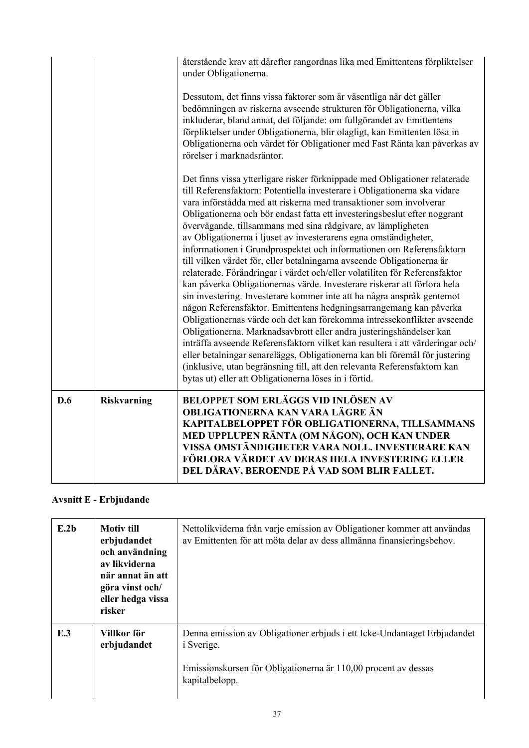|     |                    | återstående krav att därefter rangordnas lika med Emittentens förpliktelser<br>under Obligationerna.<br>Dessutom, det finns vissa faktorer som är väsentliga när det gäller<br>bedömningen av riskerna avseende strukturen för Obligationerna, vilka                                                                                                                                                                                                                                                                                                                                                                                                                                                                                                                                                                                                                                                                                                                                                                                                                                                                                                                                                                                                                                                                                                              |
|-----|--------------------|-------------------------------------------------------------------------------------------------------------------------------------------------------------------------------------------------------------------------------------------------------------------------------------------------------------------------------------------------------------------------------------------------------------------------------------------------------------------------------------------------------------------------------------------------------------------------------------------------------------------------------------------------------------------------------------------------------------------------------------------------------------------------------------------------------------------------------------------------------------------------------------------------------------------------------------------------------------------------------------------------------------------------------------------------------------------------------------------------------------------------------------------------------------------------------------------------------------------------------------------------------------------------------------------------------------------------------------------------------------------|
|     |                    | inkluderar, bland annat, det följande: om fullgörandet av Emittentens<br>förpliktelser under Obligationerna, blir olagligt, kan Emittenten lösa in<br>Obligationerna och värdet för Obligationer med Fast Ränta kan påverkas av<br>rörelser i marknadsräntor.                                                                                                                                                                                                                                                                                                                                                                                                                                                                                                                                                                                                                                                                                                                                                                                                                                                                                                                                                                                                                                                                                                     |
|     |                    | Det finns vissa ytterligare risker förknippade med Obligationer relaterade<br>till Referensfaktorn: Potentiella investerare i Obligationerna ska vidare<br>vara införstådda med att riskerna med transaktioner som involverar<br>Obligationerna och bör endast fatta ett investeringsbeslut efter noggrant<br>övervägande, tillsammans med sina rådgivare, av lämpligheten<br>av Obligationerna i ljuset av investerarens egna omständigheter,<br>informationen i Grundprospektet och informationen om Referensfaktorn<br>till vilken värdet för, eller betalningarna avseende Obligationerna är<br>relaterade. Förändringar i värdet och/eller volatiliten för Referensfaktor<br>kan påverka Obligationernas värde. Investerare riskerar att förlora hela<br>sin investering. Investerare kommer inte att ha några anspråk gentemot<br>någon Referensfaktor. Emittentens hedgningsarrangemang kan påverka<br>Obligationernas värde och det kan förekomma intressekonflikter avseende<br>Obligationerna. Marknadsavbrott eller andra justeringshändelser kan<br>inträffa avseende Referensfaktorn vilket kan resultera i att värderingar och/<br>eller betalningar senareläggs, Obligationerna kan bli föremål för justering<br>(inklusive, utan begränsning till, att den relevanta Referensfaktorn kan<br>bytas ut) eller att Obligationerna löses in i förtid. |
| D.6 | <b>Riskvarning</b> | <b>BELOPPET SOM ERLÄGGS VID INLÖSEN AV</b><br>OBLIGATIONERNA KAN VARA LÄGRE ÄN<br>KAPITALBELOPPET FÖR OBLIGATIONERNA, TILLSAMMANS<br>MED UPPLUPEN RÄNTA (OM NÅGON), OCH KAN UNDER<br>VISSA OMSTÄNDIGHETER VARA NOLL. INVESTERARE KAN<br>FÖRLORA VÄRDET AV DERAS HELA INVESTERING ELLER<br>DEL DÄRAV, BEROENDE PÅ VAD SOM BLIR FALLET.                                                                                                                                                                                                                                                                                                                                                                                                                                                                                                                                                                                                                                                                                                                                                                                                                                                                                                                                                                                                                             |

# **Avsnitt E - Erbjudande**

| E.2b | <b>Motiv</b> till<br>erbjudandet<br>och användning<br>av likviderna<br>när annat än att<br>göra vinst och/<br>eller hedga vissa<br>risker | Nettolikviderna från varje emission av Obligationer kommer att användas<br>av Emittenten för att möta delar av dess allmänna finansieringsbehov.                                  |
|------|-------------------------------------------------------------------------------------------------------------------------------------------|-----------------------------------------------------------------------------------------------------------------------------------------------------------------------------------|
| E.3  | Villkor för<br>erbjudandet                                                                                                                | Denna emission av Obligationer erbjuds i ett Icke-Undantaget Erbjudandet<br><i>i</i> Sverige.<br>Emissionskursen för Obligationerna är 110,00 procent av dessas<br>kapitalbelopp. |